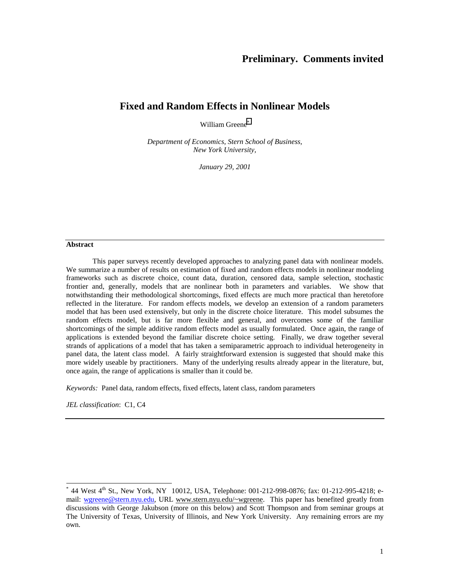# **Preliminary. Comments invited**

# **Fixed and Random Effects in Nonlinear Models**

William Greene\*

*Department of Economics, Stern School of Business, New York University,* 

*January 29, 2001* 

### **Abstract**

 This paper surveys recently developed approaches to analyzing panel data with nonlinear models. We summarize a number of results on estimation of fixed and random effects models in nonlinear modeling frameworks such as discrete choice, count data, duration, censored data, sample selection, stochastic frontier and, generally, models that are nonlinear both in parameters and variables. We show that notwithstanding their methodological shortcomings, fixed effects are much more practical than heretofore reflected in the literature. For random effects models, we develop an extension of a random parameters model that has been used extensively, but only in the discrete choice literature. This model subsumes the random effects model, but is far more flexible and general, and overcomes some of the familiar shortcomings of the simple additive random effects model as usually formulated. Once again, the range of applications is extended beyond the familiar discrete choice setting. Finally, we draw together several strands of applications of a model that has taken a semiparametric approach to individual heterogeneity in panel data, the latent class model. A fairly straightforward extension is suggested that should make this more widely useable by practitioners. Many of the underlying results already appear in the literature, but, once again, the range of applications is smaller than it could be.

*Keywords:* Panel data, random effects, fixed effects, latent class, random parameters

*JEL classification*: C1, C4

 $\overline{a}$ 

 $*$  44 West 4<sup>th</sup> St., New York, NY 10012, USA, Telephone: 001-212-998-0876; fax: 01-212-995-4218; email: wgreene@stern.nyu.edu, URL www.stern.nyu.edu/~wgreene. This paper has benefited greatly from discussions with George Jakubson (more on this below) and Scott Thompson and from seminar groups at The University of Texas, University of Illinois, and New York University. Any remaining errors are my own.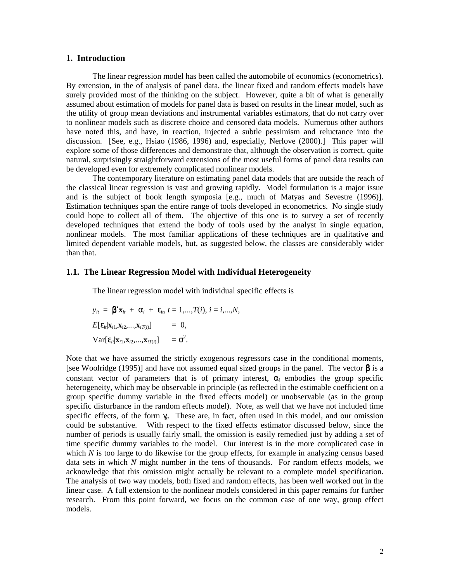# **1. Introduction**

 The linear regression model has been called the automobile of economics (econometrics). By extension, in the of analysis of panel data, the linear fixed and random effects models have surely provided most of the thinking on the subject. However, quite a bit of what is generally assumed about estimation of models for panel data is based on results in the linear model, such as the utility of group mean deviations and instrumental variables estimators, that do not carry over to nonlinear models such as discrete choice and censored data models. Numerous other authors have noted this, and have, in reaction, injected a subtle pessimism and reluctance into the discussion. [See, e.g., Hsiao (1986, 1996) and, especially, Nerlove (2000).] This paper will explore some of those differences and demonstrate that, although the observation is correct, quite natural, surprisingly straightforward extensions of the most useful forms of panel data results can be developed even for extremely complicated nonlinear models.

 The contemporary literature on estimating panel data models that are outside the reach of the classical linear regression is vast and growing rapidly. Model formulation is a major issue and is the subject of book length symposia [e.g., much of Matyas and Sevestre (1996)]. Estimation techniques span the entire range of tools developed in econometrics. No single study could hope to collect all of them. The objective of this one is to survey a set of recently developed techniques that extend the body of tools used by the analyst in single equation, nonlinear models. The most familiar applications of these techniques are in qualitative and limited dependent variable models, but, as suggested below, the classes are considerably wider than that.

# **1.1. The Linear Regression Model with Individual Heterogeneity**

The linear regression model with individual specific effects is

$$
y_{it} = \mathbf{\beta}' \mathbf{x}_{it} + \alpha_i + \varepsilon_{it}, t = 1,...,T(i), i = i,...,N,
$$
  
\n
$$
E[\varepsilon_{it}|\mathbf{x}_{i1},\mathbf{x}_{i2},...,\mathbf{x}_{iT(i)}] = 0,
$$
  
\n
$$
Var[\varepsilon_{it}|\mathbf{x}_{i1},\mathbf{x}_{i2},...,\mathbf{x}_{iT(i)}] = \sigma^2.
$$

Note that we have assumed the strictly exogenous regressors case in the conditional moments, [see Woolridge (1995)] and have not assumed equal sized groups in the panel. The vector  $\beta$  is a constant vector of parameters that is of primary interest,  $\alpha_i$  embodies the group specific heterogeneity, which may be observable in principle (as reflected in the estimable coefficient on a group specific dummy variable in the fixed effects model) or unobservable (as in the group specific disturbance in the random effects model). Note, as well that we have not included time specific effects, of the form  $\gamma$ . These are, in fact, often used in this model, and our omission could be substantive. With respect to the fixed effects estimator discussed below, since the number of periods is usually fairly small, the omission is easily remedied just by adding a set of time specific dummy variables to the model. Our interest is in the more complicated case in which *N* is too large to do likewise for the group effects, for example in analyzing census based data sets in which *N* might number in the tens of thousands. For random effects models, we acknowledge that this omission might actually be relevant to a complete model specification. The analysis of two way models, both fixed and random effects, has been well worked out in the linear case. A full extension to the nonlinear models considered in this paper remains for further research. From this point forward, we focus on the common case of one way, group effect models.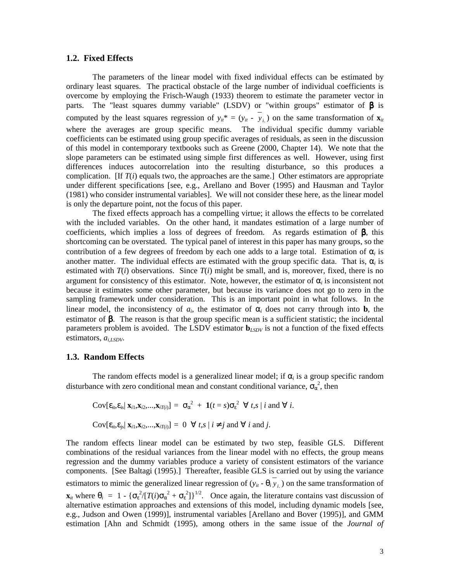# **1.2. Fixed Effects**

 The parameters of the linear model with fixed individual effects can be estimated by ordinary least squares. The practical obstacle of the large number of individual coefficients is overcome by employing the Frisch-Waugh (1933) theorem to estimate the parameter vector in parts. The "least squares dummy variable" (LSDV) or "within groups" estimator of  $\beta$  is computed by the least squares regression of  $y_{it}^* = (y_{it} - y_{it})$  on the same transformation of  $\mathbf{x}_{it}$ where the averages are group specific means. The individual specific dummy variable coefficients can be estimated using group specific averages of residuals, as seen in the discussion of this model in contemporary textbooks such as Greene (2000, Chapter 14). We note that the slope parameters can be estimated using simple first differences as well. However, using first differences induces autocorrelation into the resulting disturbance, so this produces a complication. [If  $T(i)$  equals two, the approaches are the same.] Other estimators are appropriate under different specifications [see, e.g., Arellano and Bover (1995) and Hausman and Taylor (1981) who consider instrumental variables]. We will not consider these here, as the linear model is only the departure point, not the focus of this paper.

The fixed effects approach has a compelling virtue; it allows the effects to be correlated with the included variables. On the other hand, it mandates estimation of a large number of coefficients, which implies a loss of degrees of freedom. As regards estimation of β, this shortcoming can be overstated. The typical panel of interest in this paper has many groups, so the contribution of a few degrees of freedom by each one adds to a large total. Estimation of  $\alpha$  is another matter. The individual effects are estimated with the group specific data. That is,  $\alpha_i$  is estimated with  $T(i)$  observations. Since  $T(i)$  might be small, and is, moreover, fixed, there is no argument for consistency of this estimator. Note, however, the estimator of α*i* is inconsistent not because it estimates some other parameter, but because its variance does not go to zero in the sampling framework under consideration. This is an important point in what follows. In the linear model, the inconsistency of  $a_i$ , the estimator of  $\alpha_i$  does not carry through into **b**, the estimator of  $\beta$ . The reason is that the group specific mean is a sufficient statistic; the incidental parameters problem is avoided. The LSDV estimator  $\mathbf{b}_{LSDV}$  is not a function of the fixed effects estimators, *ai,LSDV*.

#### **1.3. Random Effects**

The random effects model is a generalized linear model; if  $\alpha_i$  is a group specific random disturbance with zero conditional mean and constant conditional variance,  $\sigma_\alpha^2$ , then

$$
Cov[\varepsilon_{it}, \varepsilon_{is} | \mathbf{x}_{i1}, \mathbf{x}_{i2},...,\mathbf{x}_{iT(i)}] = \sigma_{\alpha}^{2} + \mathbf{1}(t = s)\sigma_{\varepsilon}^{2} \ \forall \ t, s \mid i \text{ and } \forall \ i.
$$

$$
Cov[\varepsilon_{it}, \varepsilon_{js} | \mathbf{x}_{i1}, \mathbf{x}_{i2},...,\mathbf{x}_{iT(i)}] = 0 \ \forall \ t, s \mid i \neq j \text{ and } \forall \ i \text{ and } j.
$$

The random effects linear model can be estimated by two step, feasible GLS. Different combinations of the residual variances from the linear model with no effects, the group means regression and the dummy variables produce a variety of consistent estimators of the variance components. [See Baltagi (1995).] Thereafter, feasible GLS is carried out by using the variance estimators to mimic the generalized linear regression of  $(y_{it} - \theta_i \overline{y_i})$  on the same transformation of  $\mathbf{x}_{it}$  where  $\theta_i = 1 - {\sigma_{\varepsilon}}^2 / [T(i)\sigma_{\alpha}^2 + \sigma_{\varepsilon}^2]$ <sup>1/2</sup>. Once again, the literature contains vast discussion of alternative estimation approaches and extensions of this model, including dynamic models [see, e.g., Judson and Owen (1999)], instrumental variables [Arellano and Bover (1995)], and GMM estimation [Ahn and Schmidt (1995), among others in the same issue of the *Journal of*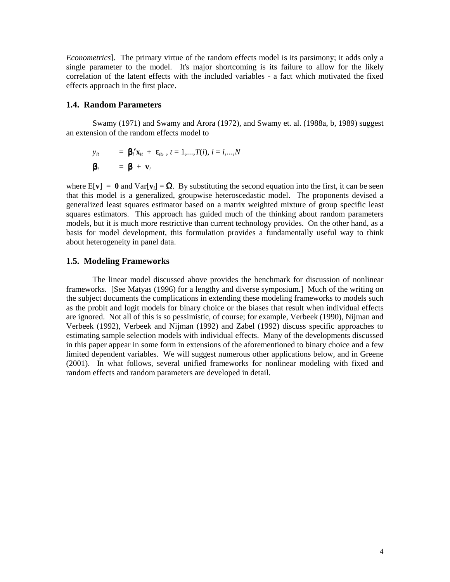*Econometrics*]. The primary virtue of the random effects model is its parsimony; it adds only a single parameter to the model. It's major shortcoming is its failure to allow for the likely correlation of the latent effects with the included variables - a fact which motivated the fixed effects approach in the first place.

# **1.4. Random Parameters**

 Swamy (1971) and Swamy and Arora (1972), and Swamy et. al. (1988a, b, 1989) suggest an extension of the random effects model to

$$
y_{it} = \mathbf{\beta}_i' \mathbf{x}_{it} + \varepsilon_{it}, t = 1,...,T(i), i = i,...,N
$$

$$
\mathbf{\beta}_i = \mathbf{\beta} + \mathbf{v}_i
$$

where  $E[\mathbf{v}] = \mathbf{0}$  and  $Var[\mathbf{v}_i] = \Omega$ . By substituting the second equation into the first, it can be seen that this model is a generalized, groupwise heteroscedastic model. The proponents devised a generalized least squares estimator based on a matrix weighted mixture of group specific least squares estimators. This approach has guided much of the thinking about random parameters models, but it is much more restrictive than current technology provides. On the other hand, as a basis for model development, this formulation provides a fundamentally useful way to think about heterogeneity in panel data.

# **1.5. Modeling Frameworks**

 The linear model discussed above provides the benchmark for discussion of nonlinear frameworks. [See Matyas (1996) for a lengthy and diverse symposium.] Much of the writing on the subject documents the complications in extending these modeling frameworks to models such as the probit and logit models for binary choice or the biases that result when individual effects are ignored. Not all of this is so pessimistic, of course; for example, Verbeek (1990), Nijman and Verbeek (1992), Verbeek and Nijman (1992) and Zabel (1992) discuss specific approaches to estimating sample selection models with individual effects. Many of the developments discussed in this paper appear in some form in extensions of the aforementioned to binary choice and a few limited dependent variables. We will suggest numerous other applications below, and in Greene (2001). In what follows, several unified frameworks for nonlinear modeling with fixed and random effects and random parameters are developed in detail.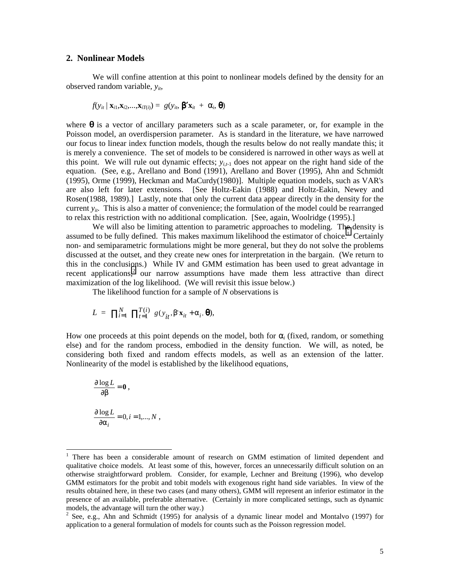# **2. Nonlinear Models**

We will confine attention at this point to nonlinear models defined by the density for an observed random variable, *yit*,

$$
f(y_{it} | \mathbf{x}_{i1}, \mathbf{x}_{i2}, \dots, \mathbf{x}_{iT(i)}) = g(y_{it}, \mathbf{\beta}^{\prime} \mathbf{x}_{it} + \alpha_i, \mathbf{\theta})
$$

where  $\theta$  is a vector of ancillary parameters such as a scale parameter, or, for example in the Poisson model, an overdispersion parameter. As is standard in the literature, we have narrowed our focus to linear index function models, though the results below do not really mandate this; it is merely a convenience. The set of models to be considered is narrowed in other ways as well at this point. We will rule out dynamic effects;  $y_{i,t-1}$  does not appear on the right hand side of the equation. (See, e.g., Arellano and Bond (1991), Arellano and Bover (1995), Ahn and Schmidt (1995), Orme (1999), Heckman and MaCurdy(1980)]. Multiple equation models, such as VAR's are also left for later extensions. [See Holtz-Eakin (1988) and Holtz-Eakin, Newey and Rosen(1988, 1989).] Lastly, note that only the current data appear directly in the density for the current  $y_{ii}$ . This is also a matter of convenience; the formulation of the model could be rearranged to relax this restriction with no additional complication. [See, again, Woolridge (1995).]

We will also be limiting attention to parametric approaches to modeling. The density is assumed to be fully defined. This makes maximum likelihood the estimator of choice.<sup>1</sup> Certainly non- and semiparametric formulations might be more general, but they do not solve the problems discussed at the outset, and they create new ones for interpretation in the bargain. (We return to this in the conclusions.) While IV and GMM estimation has been used to great advantage in recent applications, $2$  our narrow assumptions have made them less attractive than direct maximization of the log likelihood. (We will revisit this issue below.)

The likelihood function for a sample of *N* observations is

$$
L = \prod_{i=1}^{N} \prod_{t=1}^{T(i)} g(y_{it}, \beta' \mathbf{x}_{it} + \alpha_i, \boldsymbol{\theta}),
$$

How one proceeds at this point depends on the model, both for  $\alpha$  (fixed, random, or something else) and for the random process, embodied in the density function. We will, as noted, be considering both fixed and random effects models, as well as an extension of the latter. Nonlinearity of the model is established by the likelihood equations,

$$
\frac{\partial \log L}{\partial \beta} = 0,
$$
  

$$
\frac{\partial \log L}{\partial \alpha_i} = 0, i = 1,...,N,
$$

 $\overline{a}$ 

<sup>1</sup> There has been a considerable amount of research on GMM estimation of limited dependent and qualitative choice models. At least some of this, however, forces an unnecessarily difficult solution on an otherwise straightforward problem. Consider, for example, Lechner and Breitung (1996), who develop GMM estimators for the probit and tobit models with exogenous right hand side variables. In view of the results obtained here, in these two cases (and many others), GMM will represent an inferior estimator in the presence of an available, preferable alternative. (Certainly in more complicated settings, such as dynamic models, the advantage will turn the other way.)

<sup>&</sup>lt;sup>2</sup> See, e.g., Ahn and Schmidt (1995) for analysis of a dynamic linear model and Montalvo (1997) for application to a general formulation of models for counts such as the Poisson regression model.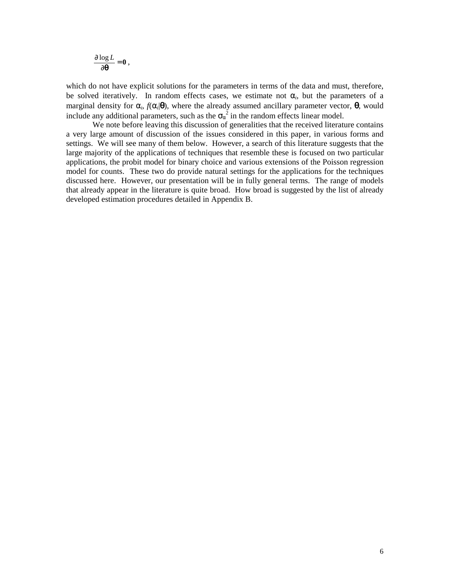$$
\frac{\partial \log L}{\partial \theta} = 0,
$$

which do not have explicit solutions for the parameters in terms of the data and must, therefore, be solved iteratively. In random effects cases, we estimate not  $\alpha_i$ , but the parameters of a marginal density for  $\alpha_i$ ,  $f(\alpha_i|\mathbf{\theta})$ , where the already assumed ancillary parameter vector,  $\mathbf{\theta}$ , would include any additional parameters, such as the  $\sigma_\alpha^2$  in the random effects linear model.

 We note before leaving this discussion of generalities that the received literature contains a very large amount of discussion of the issues considered in this paper, in various forms and settings. We will see many of them below. However, a search of this literature suggests that the large majority of the applications of techniques that resemble these is focused on two particular applications, the probit model for binary choice and various extensions of the Poisson regression model for counts. These two do provide natural settings for the applications for the techniques discussed here. However, our presentation will be in fully general terms. The range of models that already appear in the literature is quite broad. How broad is suggested by the list of already developed estimation procedures detailed in Appendix B.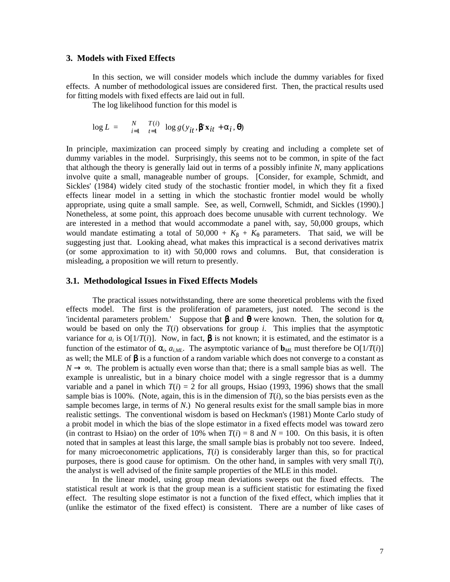# **3. Models with Fixed Effects**

 In this section, we will consider models which include the dummy variables for fixed effects. A number of methodological issues are considered first. Then, the practical results used for fitting models with fixed effects are laid out in full.

The log likelihood function for this model is

$$
\log L = \sum_{i=1}^{N} \frac{T(i)}{t-1} \log g(y_{it}, \beta' \mathbf{x}_{it} + \alpha_i, \boldsymbol{\theta})
$$

In principle, maximization can proceed simply by creating and including a complete set of dummy variables in the model. Surprisingly, this seems not to be common, in spite of the fact that although the theory is generally laid out in terms of a possibly infinite *N*, many applications involve quite a small, manageable number of groups. [Consider, for example, Schmidt, and Sickles' (1984) widely cited study of the stochastic frontier model, in which they fit a fixed effects linear model in a setting in which the stochastic frontier model would be wholly appropriate, using quite a small sample. See, as well, Cornwell, Schmidt, and Sickles (1990).] Nonetheless, at some point, this approach does become unusable with current technology. We are interested in a method that would accommodate a panel with, say, 50,000 groups, which would mandate estimating a total of  $50,000 + K_{\beta} + K_{\theta}$  parameters. That said, we will be suggesting just that. Looking ahead, what makes this impractical is a second derivatives matrix (or some approximation to it) with 50,000 rows and columns. But, that consideration is misleading, a proposition we will return to presently.

# **3.1. Methodological Issues in Fixed Effects Models**

 The practical issues notwithstanding, there are some theoretical problems with the fixed effects model. The first is the proliferation of parameters, just noted. The second is the 'incidental parameters problem.' Suppose that  $\beta$  and  $\theta$  were known. Then, the solution for  $\alpha_i$ would be based on only the *T*(*i*) observations for group *i*. This implies that the asymptotic variance for  $a_i$  is  $O[1/T(i)]$ . Now, in fact,  $\beta$  is not known; it is estimated, and the estimator is a function of the estimator of  $\alpha_i$ ,  $a_{iML}$ . The asymptotic variance of  $\mathbf{b}_{ML}$  must therefore be  $O[1/T(i)]$ as well; the MLE of  $\beta$  is a function of a random variable which does not converge to a constant as  $N \rightarrow \infty$ . The problem is actually even worse than that; there is a small sample bias as well. The example is unrealistic, but in a binary choice model with a single regressor that is a dummy variable and a panel in which  $T(i) = 2$  for all groups, Hsiao (1993, 1996) shows that the small sample bias is 100%. (Note, again, this is in the dimension of  $T(i)$ , so the bias persists even as the sample becomes large, in terms of *N*.) No general results exist for the small sample bias in more realistic settings. The conventional wisdom is based on Heckman's (1981) Monte Carlo study of a probit model in which the bias of the slope estimator in a fixed effects model was toward zero (in contrast to Hsiao) on the order of 10% when  $T(i) = 8$  and  $N = 100$ . On this basis, it is often noted that in samples at least this large, the small sample bias is probably not too severe. Indeed, for many microeconometric applications,  $T(i)$  is considerably larger than this, so for practical purposes, there is good cause for optimism. On the other hand, in samples with very small  $T(i)$ , the analyst is well advised of the finite sample properties of the MLE in this model.

 In the linear model, using group mean deviations sweeps out the fixed effects. The statistical result at work is that the group mean is a sufficient statistic for estimating the fixed effect. The resulting slope estimator is not a function of the fixed effect, which implies that it (unlike the estimator of the fixed effect) is consistent. There are a number of like cases of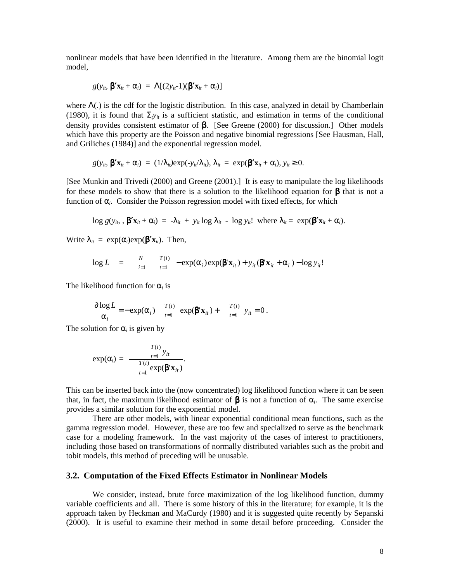nonlinear models that have been identified in the literature. Among them are the binomial logit model,

$$
g(y_{it}, \mathbf{\beta'}\mathbf{x}_{it} + \alpha_i) = \Lambda[(2y_{it} - 1)(\mathbf{\beta'}\mathbf{x}_{it} + \alpha_i)]
$$

where  $\Lambda(.)$  is the cdf for the logistic distribution. In this case, analyzed in detail by Chamberlain (1980), it is found that  $\Sigma_{t}y_{it}$  is a sufficient statistic, and estimation in terms of the conditional density provides consistent estimator of β. [See Greene (2000) for discussion.] Other models which have this property are the Poisson and negative binomial regressions [See Hausman, Hall, and Griliches (1984)] and the exponential regression model.

$$
g(y_{it}, \mathbf{\beta'}\mathbf{x}_{it} + \alpha_i) = (1/\lambda_{it}) \exp(-y_{it}/\lambda_{it}), \lambda_{it} = \exp(\mathbf{\beta'}\mathbf{x}_{it} + \alpha_i), y_{it} \geq 0.
$$

[See Munkin and Trivedi (2000) and Greene (2001).] It is easy to manipulate the log likelihoods for these models to show that there is a solution to the likelihood equation for  $\beta$  that is not a function of  $\alpha_i$ . Consider the Poisson regression model with fixed effects, for which

 $\log g(y_{it}, \beta' \mathbf{x}_{it} + \alpha_i) = -\lambda_{it} + y_{it} \log \lambda_{it} - \log y_{it}!$  where  $\lambda_{it} = \exp(\beta' \mathbf{x}_{it} + \alpha_i)$ .

Write  $\lambda_{it} = \exp(\alpha_i) \exp(\beta' \mathbf{x}_{it})$ . Then,

$$
\log L = \sum_{i=1}^{N} \frac{T(i)}{t-1} - \exp(\alpha_i) \exp(\beta' \mathbf{x}_{it}) + y_{it}(\beta' \mathbf{x}_{it} + \alpha_i) - \log y_{it}!
$$

The likelihood function for  $\alpha_i$  is

$$
\frac{\partial \log L}{\alpha_i} = -\exp(\alpha_i) \quad \frac{T(i)}{t=1} \exp(\beta' \mathbf{x}_{it}) + \quad \frac{T(i)}{t=1} \ y_{it} = 0 \,.
$$

The solution for  $\alpha_i$  is given by

$$
\exp(\alpha_i) = \frac{\frac{T(i)}{T(i)} y_{it}}{\frac{T(i)}{t=1} \exp(\beta' \mathbf{x}_{it})}.
$$

This can be inserted back into the (now concentrated) log likelihood function where it can be seen that, in fact, the maximum likelihood estimator of  $\beta$  is not a function of  $\alpha_i$ . The same exercise provides a similar solution for the exponential model.

There are other models, with linear exponential conditional mean functions, such as the gamma regression model. However, these are too few and specialized to serve as the benchmark case for a modeling framework. In the vast majority of the cases of interest to practitioners, including those based on transformations of normally distributed variables such as the probit and tobit models, this method of preceding will be unusable.

## **3.2. Computation of the Fixed Effects Estimator in Nonlinear Models**

 We consider, instead, brute force maximization of the log likelihood function, dummy variable coefficients and all. There is some history of this in the literature; for example, it is the approach taken by Heckman and MaCurdy (1980) and it is suggested quite recently by Sepanski (2000). It is useful to examine their method in some detail before proceeding. Consider the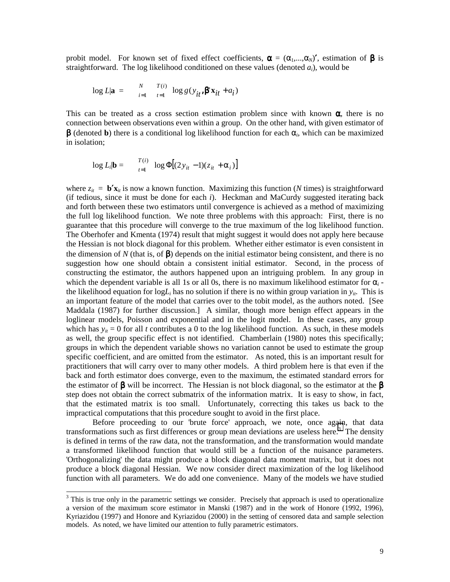probit model. For known set of fixed effect coefficients,  $\alpha = (\alpha_1,...,\alpha_N)'$ , estimation of  $\beta$  is straightforward. The log likelihood conditioned on these values (denoted *ai*), would be

$$
\log L|\mathbf{a} = \sum_{i=1}^{N} \frac{T(i)}{t-1} \log g(y_{it}, \beta' \mathbf{x}_{it} + a_i)
$$

This can be treated as a cross section estimation problem since with known  $\alpha$ , there is no connection between observations even within a group. On the other hand, with given estimator of β (denoted **b**) there is a conditional log likelihood function for each α*i*, which can be maximized in isolation;

$$
\log L_{i}|\mathbf{b} = \frac{T(i)}{t=1} \log \Phi \big[(2y_{it} - 1)(z_{it} + \alpha_{i})\big]
$$

where  $z_{it} = \mathbf{b}'\mathbf{x}_{it}$  is now a known function. Maximizing this function (*N* times) is straightforward (if tedious, since it must be done for each *i*). Heckman and MaCurdy suggested iterating back and forth between these two estimators until convergence is achieved as a method of maximizing the full log likelihood function. We note three problems with this approach: First, there is no guarantee that this procedure will converge to the true maximum of the log likelihood function. The Oberhofer and Kmenta (1974) result that might suggest it would does not apply here because the Hessian is not block diagonal for this problem. Whether either estimator is even consistent in the dimension of N (that is, of  $\beta$ ) depends on the initial estimator being consistent, and there is no suggestion how one should obtain a consistent initial estimator. Second, in the process of constructing the estimator, the authors happened upon an intriguing problem. In any group in which the dependent variable is all 1s or all 0s, there is no maximum likelihood estimator for  $\alpha_i$ . the likelihood equation for  $log L_i$  has no solution if there is no within group variation in  $y_{ii}$ . This is an important feature of the model that carries over to the tobit model, as the authors noted. [See Maddala (1987) for further discussion.] A similar, though more benign effect appears in the loglinear models, Poisson and exponential and in the logit model. In these cases, any group which has  $y_{it} = 0$  for all *t* contributes a 0 to the log likelihood function. As such, in these models as well, the group specific effect is not identified. Chamberlain (1980) notes this specifically; groups in which the dependent variable shows no variation cannot be used to estimate the group specific coefficient, and are omitted from the estimator. As noted, this is an important result for practitioners that will carry over to many other models. A third problem here is that even if the back and forth estimator does converge, even to the maximum, the estimated standard errors for the estimator of  $\beta$  will be incorrect. The Hessian is not block diagonal, so the estimator at the  $\beta$ step does not obtain the correct submatrix of the information matrix. It is easy to show, in fact, that the estimated matrix is too small. Unfortunately, correcting this takes us back to the impractical computations that this procedure sought to avoid in the first place.

 Before proceeding to our 'brute force' approach, we note, once again, that data transformations such as first differences or group mean deviations are useless here.<sup>3</sup> The density is defined in terms of the raw data, not the transformation, and the transformation would mandate a transformed likelihood function that would still be a function of the nuisance parameters. 'Orthogonalizing' the data might produce a block diagonal data moment matrix, but it does not produce a block diagonal Hessian. We now consider direct maximization of the log likelihood function with all parameters. We do add one convenience. Many of the models we have studied

l

 $3$  This is true only in the parametric settings we consider. Precisely that approach is used to operationalize a version of the maximum score estimator in Manski (1987) and in the work of Honore (1992, 1996), Kyriazidou (1997) and Honore and Kyriazidou (2000) in the setting of censored data and sample selection models. As noted, we have limited our attention to fully parametric estimators.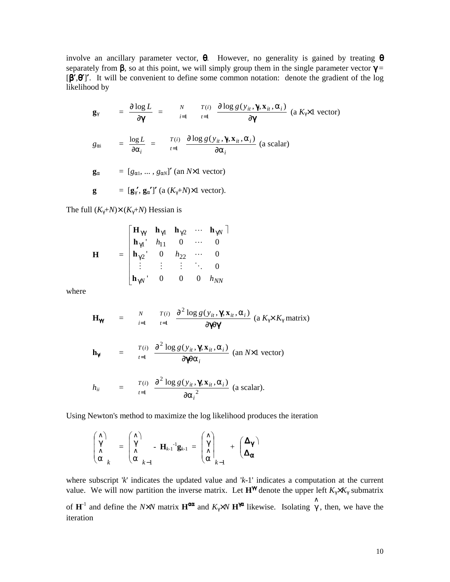involve an ancillary parameter vector,  $\theta$ . However, no generality is gained by treating  $\theta$ separately from  $\beta$ , so at this point, we will simply group them in the single parameter vector  $\gamma$  =  $[\hat{\beta'}, \hat{\theta}']'$ . It will be convenient to define some common notation: denote the gradient of the log likelihood by

$$
\mathbf{g}_{\gamma} = \frac{\partial \log L}{\partial \mathbf{\gamma}} = \begin{array}{cc} N & T(i) & \frac{\partial \log g(y_{ii}, \mathbf{\gamma}, \mathbf{x}_{ii}, \alpha_{i})}{\partial \mathbf{\gamma}} \text{ (a } K_{\gamma} \times 1 \text{ vector)} \\ \vdots & \vdots & \vdots \\ g_{\alpha i} & = \frac{\log L}{\partial \alpha_{i}} = \begin{array}{cc} T(i) & \frac{\partial \log g(y_{ii}, \mathbf{\gamma}, \mathbf{x}_{ii}, \alpha_{i})}{\partial \alpha_{i}} \text{ (a scalar)} \end{array} \\ \mathbf{g}_{\alpha} = [g_{\alpha 1}, \dots, g_{\alpha N}]' \text{ (an } N \times 1 \text{ vector)} \end{array}
$$

$$
\mathbf{g} = [\mathbf{g}_{\gamma}', \mathbf{g}_{\alpha}']' \left( a \left( K_{\gamma} + N \right) \times 1 \right) \text{ vector}.
$$

The full  $(K_{\gamma}+N)\times (K_{\gamma}+N)$  Hessian is

$$
\mathbf{H} = \begin{bmatrix} \mathbf{H}_{\gamma\gamma} & \mathbf{h}_{\gamma1} & \mathbf{h}_{\gamma2} & \cdots & \mathbf{h}_{\gamma N} \\ \mathbf{h}_{\gamma1} & h_{11} & 0 & \cdots & 0 \\ \mathbf{h}_{\gamma2} & 0 & h_{22} & \cdots & 0 \\ \vdots & \vdots & \vdots & \ddots & 0 \\ \mathbf{h}_{\gamma N} & 0 & 0 & 0 & h_{NN} \end{bmatrix}
$$

where

$$
\mathbf{H}_{\mathbf{\gamma}} = \begin{array}{cc} N & T(i) & \frac{\partial^2 \log g(y_{ii}, \mathbf{\gamma}, \mathbf{x}_{ii}, \alpha_i)}{\partial \mathbf{\gamma} \partial \mathbf{\gamma'}} & (a \, K_{\gamma} \times K_{\gamma} \, \text{matrix}) \end{array}
$$

$$
\mathbf{h}_{\gamma i} = \frac{T(i)}{t=1} \frac{\partial^2 \log g(y_{it}, \gamma, \mathbf{x}_{it}, \alpha_i)}{\partial \gamma \partial \alpha_i} \text{ (an } N \times 1 \text{ vector)}
$$

$$
h_{ii} = \frac{T(i)}{t=1} \frac{\partial^2 \log g(y_{it}, \gamma, \mathbf{x}_{it}, \alpha_i)}{\partial {\alpha_i}^2}
$$
 (a scalar).

Using Newton's method to maximize the log likelihood produces the iteration

$$
\begin{pmatrix}\n\wedge \\
\gamma \\
\wedge \\
\alpha\n\end{pmatrix}_{k} = \begin{pmatrix}\n\wedge \\
\gamma \\
\wedge \\
\alpha\n\end{pmatrix}_{k-1} - \mathbf{H}_{k-1}^{-1}\mathbf{g}_{k-1} = \begin{pmatrix}\n\wedge \\
\gamma \\
\wedge \\
\alpha\n\end{pmatrix}_{k-1} + \begin{pmatrix}\n\Delta_{\gamma} \\
\Delta_{\alpha}\n\end{pmatrix}
$$

where subscript '*k*' indicates the updated value and '*k*-1' indicates a computation at the current value. We will now partition the inverse matrix. Let  $\mathbf{H}^{\gamma}$  denote the upper left  $K_{\gamma} \times K_{\gamma}$  submatrix of  $\mathbf{H}^{-1}$  and define the *N*×*N* matrix  $\mathbf{H}^{\alpha\alpha}$  and  $K_{\gamma}$ ×*N*  $\mathbf{H}^{\gamma\alpha}$  likewise. Isolating  $\hat{\gamma}$ , then, we have the iteration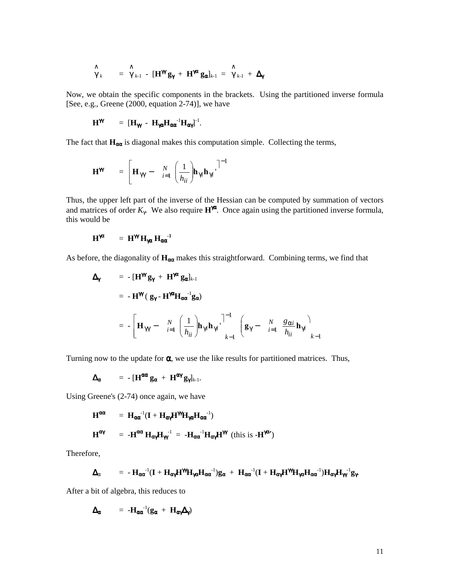$$
\hat{\gamma}_k = \hat{\gamma}_{k-1} - [\mathbf{H}^{\mathbf{m}} \mathbf{g}_{\gamma} + \mathbf{H}^{\mathbf{m}} \mathbf{g}_{\alpha}]_{k-1} = \hat{\gamma}_{k-1} + \Delta_{\gamma}
$$

Now, we obtain the specific components in the brackets. Using the partitioned inverse formula [See, e.g., Greene (2000, equation 2-74)], we have

$$
\mathbf{H}^{\gamma\gamma} \qquad = \; [\mathbf{H}_{\gamma\gamma} - \mathbf{H}_{\gamma\alpha}\mathbf{H}_{\alpha\alpha}^{\qquad -1}\mathbf{H}_{\alpha\gamma}]^{-1}.
$$

The fact that  $H_{\alpha\alpha}$  is diagonal makes this computation simple. Collecting the terms,

$$
\mathbf{H}^{\mathbf{m}} = \begin{bmatrix} \mathbf{H}_{\gamma\gamma} - \sum_{i=1}^{N} \left( \frac{1}{h_{ii}} \right) \mathbf{h}_{\gamma i} \mathbf{h}_{\gamma i} \end{bmatrix}^{-1}
$$

Thus, the upper left part of the inverse of the Hessian can be computed by summation of vectors and matrices of order  $K_{\gamma}$ . We also require  $\mathbf{H}^{\gamma\alpha}$ . Once again using the partitioned inverse formula, this would be

$$
H^{\gamma\alpha} = H^{\gamma\gamma} H_{\gamma\alpha} H_{\alpha\alpha}^{-1}
$$

As before, the diagonality of  $H_{\alpha\alpha}$  makes this straightforward. Combining terms, we find that

$$
\Delta_{\gamma} = -[\mathbf{H}^{\gamma} \mathbf{g}_{\gamma} + \mathbf{H}^{\gamma \alpha} \mathbf{g}_{\alpha}]_{k-1}
$$
  

$$
= -\mathbf{H}^{\gamma \alpha} (\mathbf{g}_{\gamma} - \mathbf{H}^{\gamma \alpha} \mathbf{H}_{\alpha \alpha}^{-1} \mathbf{g}_{\alpha})
$$
  

$$
= -\left[\mathbf{H}_{\gamma \gamma} - \sum_{i=1}^{N} \left(\frac{1}{h_{ii}}\right) \mathbf{h}_{\gamma i} \mathbf{h}_{\gamma i} \right]^{-1} \left(\mathbf{g}_{\gamma} - \sum_{i=1}^{N} \frac{g_{\alpha i}}{h_{ii}} \mathbf{h}_{\gamma i}\right)_{k-1}
$$

Turning now to the update for  $\alpha$ , we use the like results for partitioned matrices. Thus,

$$
\Delta_{\alpha} = -\left[\mathbf{H}^{\alpha\alpha} \mathbf{g}_{\alpha} + \mathbf{H}^{\alpha\gamma} \mathbf{g}_{\gamma}\right]_{k-1}.
$$

Using Greene's (2-74) once again, we have

$$
H^{\alpha\alpha} = H_{\alpha\alpha}^{-1}(I + H_{\alpha\gamma}H^{\gamma\gamma}H_{\gamma\alpha}H_{\alpha\alpha}^{-1})
$$

$$
H^{\alpha\gamma} = -H^{\alpha\alpha}H_{\alpha\gamma}H_{\gamma\gamma}^{-1} = -H_{\alpha\alpha}^{-1}H_{\alpha\gamma}H^{\gamma\gamma} \text{ (this is -H)}^{\gamma\alpha\gamma} \text{)}
$$

Therefore,

$$
\Delta_{\alpha} \qquad = \ -H_{\alpha\alpha}{}^{-1}(I + H_{\alpha\gamma}H^{\gamma\gamma}H_{\gamma\alpha}H_{\alpha\alpha}{}^{-1})g_{\alpha} \ + \ H_{\alpha\alpha}{}^{-1}(I + H_{\alpha\gamma}H^{\gamma\gamma}H_{\gamma\alpha}H_{\alpha\alpha}{}^{-1})H_{\alpha\gamma}H_{\gamma\gamma}{}^{-1}g_{\gamma}.
$$

After a bit of algebra, this reduces to

$$
\Delta_{\alpha} = -H_{\alpha\alpha}^{-1}(g_{\alpha} + H_{\alpha\gamma}\Delta_{\gamma})
$$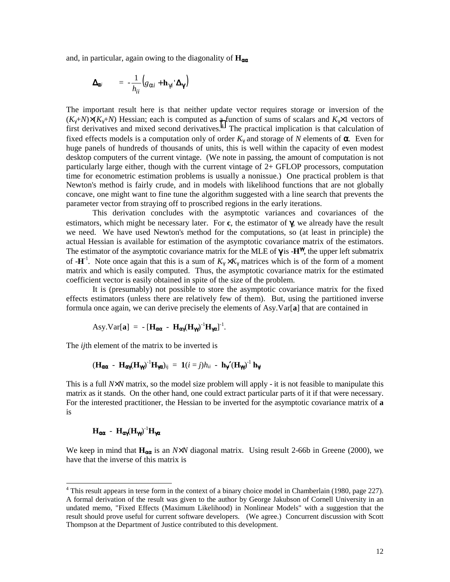and, in particular, again owing to the diagonality of **H**αα

$$
\Delta_{\alpha i} = -\frac{1}{h_{ii}} \big(g_{\alpha i} + \mathbf{h}_{\gamma i} \Delta_{\gamma}\big)
$$

The important result here is that neither update vector requires storage or inversion of the  $(K_v+N)\times (K_v+N)$  Hessian; each is computed as a function of sums of scalars and  $K_v\times 1$  vectors of first derivatives and mixed second derivatives.<sup>4</sup> The practical implication is that calculation of fixed effects models is a computation only of order  $K_{\gamma}$  and storage of N elements of  $\alpha$ . Even for huge panels of hundreds of thousands of units, this is well within the capacity of even modest desktop computers of the current vintage. (We note in passing, the amount of computation is not particularly large either, though with the current vintage of 2+ GFLOP processors, computation time for econometric estimation problems is usually a nonissue.) One practical problem is that Newton's method is fairly crude, and in models with likelihood functions that are not globally concave, one might want to fine tune the algorithm suggested with a line search that prevents the parameter vector from straying off to proscribed regions in the early iterations.

 This derivation concludes with the asymptotic variances and covariances of the estimators, which might be necessary later. For **c**, the estimator of γ, we already have the result we need. We have used Newton's method for the computations, so (at least in principle) the actual Hessian is available for estimation of the asymptotic covariance matrix of the estimators. The estimator of the asymptotic covariance matrix for the MLE of  $\gamma$  is  $-H^{\gamma}$ , the upper left submatrix of  $-H^{-1}$ . Note once again that this is a sum of  $K_{\gamma} \times K_{\gamma}$  matrices which is of the form of a moment matrix and which is easily computed. Thus, the asymptotic covariance matrix for the estimated coefficient vector is easily obtained in spite of the size of the problem.

 It is (presumably) not possible to store the asymptotic covariance matrix for the fixed effects estimators (unless there are relatively few of them). But, using the partitioned inverse formula once again, we can derive precisely the elements of Asy.Var[**a**] that are contained in

$$
Asy.Var[a] = - [Hαα - Hαγ(Hγγ)-1Hγα]-1.
$$

The *ij*th element of the matrix to be inverted is

$$
(\mathbf{H}_{\alpha\alpha} - \mathbf{H}_{\alpha\gamma}(\mathbf{H}_{\gamma\gamma})^{\text{-1}}\mathbf{H}_{\gamma\alpha})_{ij} = \mathbf{1}(i = j)h_{ii} - \mathbf{h}_{\gamma\gamma}(\mathbf{H}_{\gamma\gamma})^{\text{-1}}\mathbf{h}_{\gamma\gamma}
$$

This is a full *N*×*N* matrix, so the model size problem will apply - it is not feasible to manipulate this matrix as it stands. On the other hand, one could extract particular parts of it if that were necessary. For the interested practitioner, the Hessian to be inverted for the asymptotic covariance matrix of **a** is

# **H**<sub>αα</sub> - **H**<sub>αγ</sub>(**H**<sub>γγ</sub>)<sup>-1</sup>**H**<sub>γα</sub>

We keep in mind that **H**αα is an *N*×*N* diagonal matrix. Using result 2-66b in Greene (2000), we have that the inverse of this matrix is

<sup>&</sup>lt;sup>4</sup> This result appears in terse form in the context of a binary choice model in Chamberlain (1980, page 227). A formal derivation of the result was given to the author by George Jakubson of Cornell University in an undated memo, "Fixed Effects (Maximum Likelihood) in Nonlinear Models" with a suggestion that the result should prove useful for current software developers. (We agree.) Concurrent discussion with Scott Thompson at the Department of Justice contributed to this development.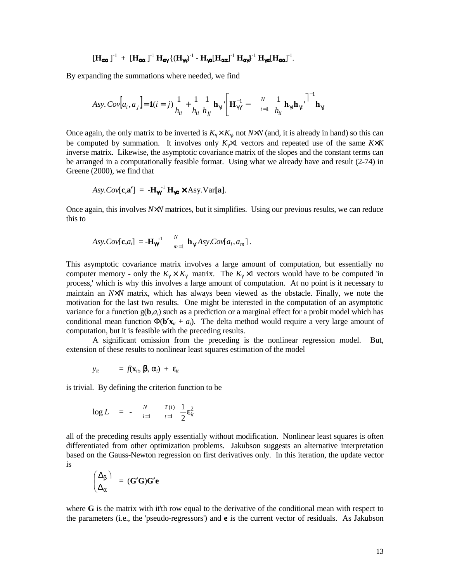$$
\left[\mathbf{H}_{\alpha\alpha}\,\right]^{-1}\ +\ \left[\mathbf{H}_{\alpha\alpha}\,\right]^{-1}\mathbf{H}_{\alpha\gamma}\left\{\left(\mathbf{H}_{\gamma\gamma}\right)^{-1}-\mathbf{H}_{\gamma\alpha}[\mathbf{H}_{\alpha\alpha}]^{-1}\,\mathbf{H}_{\alpha\gamma}\right\}^{-1}\mathbf{H}_{\gamma\alpha}[\mathbf{H}_{\alpha\alpha}]^{-1}.
$$

By expanding the summations where needed, we find

$$
Asy. \ Cov[a_i, a_j] = \mathbf{1}(i = j) \frac{1}{h_{ii}} + \frac{1}{h_{ii}} \frac{1}{h_{jj}} \mathbf{h}_{\gamma i} \left[ \mathbf{H}_{\gamma \gamma}^{-1} - \frac{N}{i=1} \frac{1}{h_{ii}} \mathbf{h}_{\gamma i} \mathbf{h}_{\gamma i} \right]^{-1} \mathbf{h}_{\gamma j}
$$

Once again, the only matrix to be inverted is  $K_{\gamma} \times K_{\gamma}$ , not  $N \times N$  (and, it is already in hand) so this can be computed by summation. It involves only *K*γ×1 vectors and repeated use of the same *K*×*K* inverse matrix. Likewise, the asymptotic covariance matrix of the slopes and the constant terms can be arranged in a computationally feasible format. Using what we already have and result (2-74) in Greene (2000), we find that

$$
Asy. Cov[\mathbf{c}, \mathbf{a}'] = -\mathbf{H}_{\mathbf{m}}^{-1} \mathbf{H}_{\mathbf{m}} \times Asy. Var[\mathbf{a}].
$$

Once again, this involves *N*×*N* matrices, but it simplifies. Using our previous results, we can reduce this to

$$
A\mathbf{y}.Cov[\mathbf{c},a_i] = -\mathbf{H}_{\mathbf{W}}^{-1} \qquad_{m=1}^{N} \mathbf{h}_{\gamma i} A\mathbf{y}.Cov[a_i,a_m].
$$

This asymptotic covariance matrix involves a large amount of computation, but essentially no computer memory - only the  $K_{\gamma} \times K_{\gamma}$  matrix. The  $K_{\gamma} \times 1$  vectors would have to be computed 'in process,' which is why this involves a large amount of computation. At no point is it necessary to maintain an *N*×*N* matrix, which has always been viewed as the obstacle. Finally, we note the motivation for the last two results. One might be interested in the computation of an asymptotic variance for a function  $g(\mathbf{b},a_i)$  such as a prediction or a marginal effect for a probit model which has conditional mean function  $\Phi(\mathbf{b}'\mathbf{x}_{it} + a_i)$ . The delta method would require a very large amount of computation, but it is feasible with the preceding results.

A significant omission from the preceding is the nonlinear regression model. But, extension of these results to nonlinear least squares estimation of the model

$$
y_{it} = f(\mathbf{x}_{it}, \boldsymbol{\beta}, \alpha_i) + \varepsilon_{it}
$$

is trivial. By defining the criterion function to be

$$
\log L = - \sum_{i=1}^{N} \frac{T(i)}{t=1} \frac{1}{2} \varepsilon_{it}^{2}
$$

all of the preceding results apply essentially without modification. Nonlinear least squares is often differentiated from other optimization problems. Jakubson suggests an alternative interpretation based on the Gauss-Newton regression on first derivatives only. In this iteration, the update vector is

$$
\begin{pmatrix}\Delta_{\beta}\\ \Delta_{\alpha}\end{pmatrix} = (\mathbf{G'G})\mathbf{G'e}
$$

where G is the matrix with it'th row equal to the derivative of the conditional mean with respect to the parameters (i.e., the 'pseudo-regressors') and **e** is the current vector of residuals. As Jakubson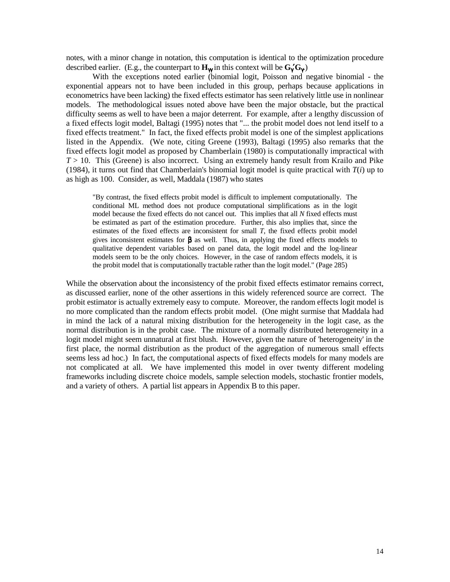notes, with a minor change in notation, this computation is identical to the optimization procedure described earlier. (E.g., the counterpart to  $\mathbf{H}_{\gamma}$  in this context will be  $\mathbf{G}_{\gamma}'\mathbf{G}_{\gamma}$ )

 With the exceptions noted earlier (binomial logit, Poisson and negative binomial - the exponential appears not to have been included in this group, perhaps because applications in econometrics have been lacking) the fixed effects estimator has seen relatively little use in nonlinear models. The methodological issues noted above have been the major obstacle, but the practical difficulty seems as well to have been a major deterrent. For example, after a lengthy discussion of a fixed effects logit model, Baltagi (1995) notes that "... the probit model does not lend itself to a fixed effects treatment." In fact, the fixed effects probit model is one of the simplest applications listed in the Appendix. (We note, citing Greene (1993), Baltagi (1995) also remarks that the fixed effects logit model as proposed by Chamberlain (1980) is computationally impractical with  $T > 10$ . This (Greene) is also incorrect. Using an extremely handy result from Krailo and Pike (1984), it turns out find that Chamberlain's binomial logit model is quite practical with  $T(i)$  up to as high as 100. Consider, as well, Maddala (1987) who states

"By contrast, the fixed effects probit model is difficult to implement computationally. The conditional ML method does not produce computational simplifications as in the logit model because the fixed effects do not cancel out. This implies that all *N* fixed effects must be estimated as part of the estimation procedure. Further, this also implies that, since the estimates of the fixed effects are inconsistent for small *T*, the fixed effects probit model gives inconsistent estimates for  $\beta$  as well. Thus, in applying the fixed effects models to qualitative dependent variables based on panel data, the logit model and the log-linear models seem to be the only choices. However, in the case of random effects models, it is the probit model that is computationally tractable rather than the logit model." (Page 285)

While the observation about the inconsistency of the probit fixed effects estimator remains correct, as discussed earlier, none of the other assertions in this widely referenced source are correct. The probit estimator is actually extremely easy to compute. Moreover, the random effects logit model is no more complicated than the random effects probit model. (One might surmise that Maddala had in mind the lack of a natural mixing distribution for the heterogeneity in the logit case, as the normal distribution is in the probit case. The mixture of a normally distributed heterogeneity in a logit model might seem unnatural at first blush. However, given the nature of 'heterogeneity' in the first place, the normal distribution as the product of the aggregation of numerous small effects seems less ad hoc.) In fact, the computational aspects of fixed effects models for many models are not complicated at all. We have implemented this model in over twenty different modeling frameworks including discrete choice models, sample selection models, stochastic frontier models, and a variety of others. A partial list appears in Appendix B to this paper.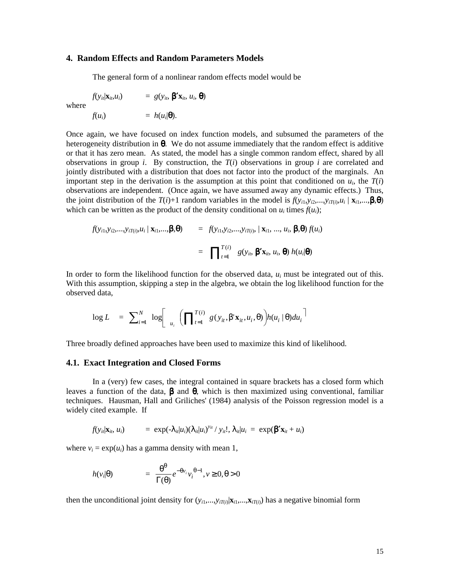## **4. Random Effects and Random Parameters Models**

The general form of a nonlinear random effects model would be

where

$$
f(y_{ii}|\mathbf{x}_{ii}, u_i) = g(y_{ii}, \boldsymbol{\beta}' \mathbf{x}_{ii}, u_i, \boldsymbol{\theta})
$$

$$
f(u_i) = h(u_i|\boldsymbol{\theta}).
$$

Once again, we have focused on index function models, and subsumed the parameters of the heterogeneity distribution in  $\theta$ . We do not assume immediately that the random effect is additive or that it has zero mean. As stated, the model has a single common random effect, shared by all observations in group *i*. By construction, the  $T(i)$  observations in group *i* are correlated and jointly distributed with a distribution that does not factor into the product of the marginals. An important step in the derivation is the assumption at this point that conditioned on  $u_i$ , the  $T(i)$ observations are independent. (Once again, we have assumed away any dynamic effects.) Thus, the joint distribution of the  $T(i)+1$  random variables in the model is  $f(y_{i1}, y_{i2},...,y_{iT(i)}, u_i \mid \mathbf{x}_{i1},...,\boldsymbol{\beta},\boldsymbol{\theta})$ which can be written as the product of the density conditional on  $u_i$  times  $f(u_i)$ ;

$$
f(y_{i1},y_{i2},...,y_{iT(i)},u_i \mid \mathbf{x}_{i1},...,\boldsymbol{\beta},\boldsymbol{\theta}) = f(y_{i1},y_{i2},...,y_{iT(i)},\mid \mathbf{x}_{i1},...,u_i,\boldsymbol{\beta},\boldsymbol{\theta}) f(u_i)
$$

$$
= \prod_{i=1}^{T(i)} g(y_{i},\boldsymbol{\beta}'\mathbf{x}_{i},u_i,\boldsymbol{\theta}) h(u_i|\boldsymbol{\theta})
$$

In order to form the likelihood function for the observed data, *ui* must be integrated out of this. With this assumption, skipping a step in the algebra, we obtain the log likelihood function for the observed data,

$$
\log L = \sum_{i=1}^{N} \log \left[ \prod_{u_i}^{T(i)} g(y_{it}, \beta' \mathbf{x}_{it}, u_i, \theta) \right] h(u_i \mid \theta) du_i
$$

Three broadly defined approaches have been used to maximize this kind of likelihood.

#### **4.1. Exact Integration and Closed Forms**

In a (very) few cases, the integral contained in square brackets has a closed form which leaves a function of the data,  $\beta$  and  $\theta$ , which is then maximized using conventional, familiar techniques. Hausman, Hall and Griliches' (1984) analysis of the Poisson regression model is a widely cited example. If

$$
f(y_{it}|\mathbf{x}_{it}, u_i) = \exp(-\lambda_{it}|u_i)(\lambda_{it}|u_i)^{y_{it}} / y_{it}!, \lambda_{it}|u_i = \exp(\beta' \mathbf{x}_{it} + u_i)
$$

where  $v_i = \exp(u_i)$  has a gamma density with mean 1,

$$
h(v_i|\theta) = \frac{\theta^{\theta}}{\Gamma(\theta)} e^{-\theta v_i} v_i^{\theta-1}, v \ge 0, \theta > 0
$$

then the unconditional joint density for  $(y_{i1},...,y_{iT(i)}|\mathbf{x}_{i1},...,\mathbf{x}_{iT(i)})$  has a negative binomial form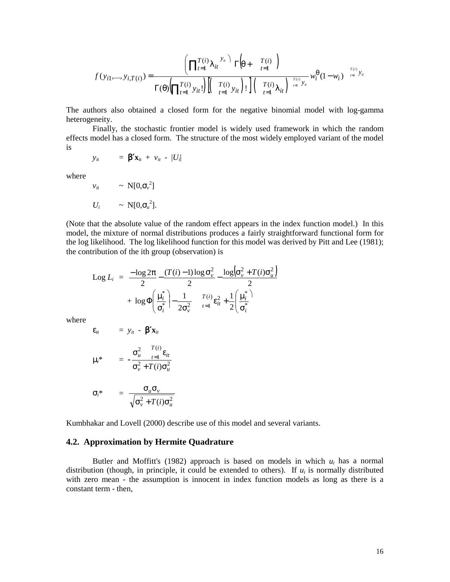$$
f(y_{i1},...,y_{i,T(i)}) = \frac{\left(\prod_{t=1}^{T(i)} \lambda_{it} \right) \Gamma(\theta + \frac{T(i)}{t-1})}{\Gamma(\theta) \left(\prod_{t=1}^{T(i)} y_{it}!\right) \left(\frac{T(i)}{t-1} y_{it}\right)! \left(\frac{T(i)}{t-1} y_{it}\right)!} w_i^{\theta} (1 - w_i) \xrightarrow{\frac{T(i)}{t-1} y_{it}}
$$

The authors also obtained a closed form for the negative binomial model with log-gamma heterogeneity.

Finally, the stochastic frontier model is widely used framework in which the random effects model has a closed form. The structure of the most widely employed variant of the model is

$$
y_{it} = \mathbf{\beta}' \mathbf{x}_{it} + v_{it} - |U_i|
$$

where

$$
v_{it} \sim N[0, \sigma_{v}^{2}]
$$
  

$$
U_{i} \sim N[0, \sigma_{u}^{2}].
$$

(Note that the absolute value of the random effect appears in the index function model.) In this model, the mixture of normal distributions produces a fairly straightforward functional form for the log likelihood. The log likelihood function for this model was derived by Pitt and Lee (1981); the contribution of the ith group (observation) is

$$
\begin{array}{rcl}\n\text{Log } L_i &=& \frac{-\log 2\pi}{2} - \frac{(T(i)-1)\log \sigma_v^2}{2} - \frac{\log \left(\sigma_v^2 + T(i)\sigma_u^2\right)}{2} \\
&+ \log \Phi \left(\frac{\mu_i^*}{\sigma_i^*}\right) - \frac{1}{2\sigma_v^2} - \frac{T(i)}{t-1} \varepsilon_{it}^2 + \frac{1}{2} \left(\frac{\mu_i^*}{\sigma_i^*}\right)\n\end{array}
$$

where

$$
\varepsilon_{it} = y_{it} - \beta' \mathbf{x}_{it}
$$

$$
\sigma^2 \frac{T(i)}{i} \mathbf{x}_{it}
$$

$$
\mu_i^* = -\frac{\sigma_u^2}{\sigma_v^2 + T(i)\sigma_u^2}
$$

$$
\sigma_i^* = \frac{\sigma_u \sigma_v}{\sqrt{\sigma_v^2 + T(i)\sigma_u^2}}
$$

Kumbhakar and Lovell (2000) describe use of this model and several variants.

# **4.2. Approximation by Hermite Quadrature**

Butler and Moffitt's (1982) approach is based on models in which  $u_i$  has a normal distribution (though, in principle, it could be extended to others). If  $u_i$  is normally distributed with zero mean - the assumption is innocent in index function models as long as there is a constant term - then,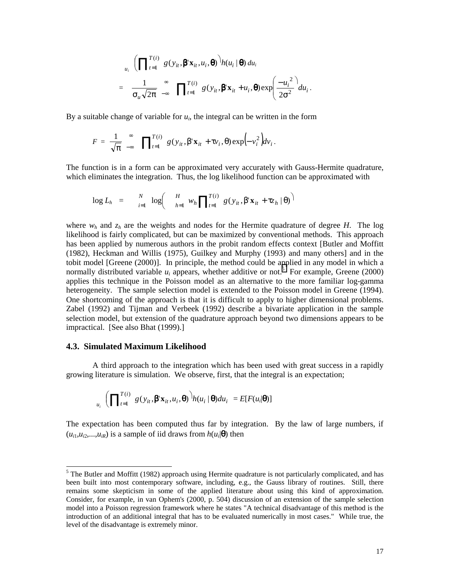$$
u_i \left( \prod_{t=1}^{T(i)} g(y_{it}, \boldsymbol{\beta}^t \mathbf{x}_{it}, u_i, \boldsymbol{\theta}) \right) h(u_i \mid \boldsymbol{\theta}) du_i
$$
  
= 
$$
\frac{1}{\sigma_u \sqrt{2\pi}} \sum_{-\infty}^{\infty} \prod_{t=1}^{T(i)} g(y_{it}, \boldsymbol{\beta}^t \mathbf{x}_{it} + u_i, \boldsymbol{\theta}) \exp\left(\frac{-u_i^2}{2\sigma^2} \right) du_i.
$$

By a suitable change of variable for  $u_i$ , the integral can be written in the form

$$
F = \frac{1}{\sqrt{\pi}} \int_{-\infty}^{\infty} \prod_{t=1}^{T(i)} g(y_{it}, \beta' \mathbf{x}_{it} + \tau v_{i}, \theta) \exp(-v_{i}^{2}) dv_{i}.
$$

The function is in a form can be approximated very accurately with Gauss-Hermite quadrature, which eliminates the integration. Thus, the log likelihood function can be approximated with

$$
\log L_h = \sum_{i=1}^N \log \left( \frac{H}{h-1} w_h \prod_{t=1}^{T(i)} g(y_{it}, \beta' \mathbf{x}_{it} + \tau z_h | \theta) \right)
$$

where  $w_h$  and  $z_h$  are the weights and nodes for the Hermite quadrature of degree *H*. The log likelihood is fairly complicated, but can be maximized by conventional methods. This approach has been applied by numerous authors in the probit random effects context [Butler and Moffitt (1982), Heckman and Willis (1975), Guilkey and Murphy (1993) and many others] and in the tobit model [Greene (2000)]. In principle, the method could be applied in any model in which a normally distributed variable  $u_i$  appears, whether additive or not.<sup>5</sup> For example, Greene (2000) applies this technique in the Poisson model as an alternative to the more familiar log-gamma heterogeneity. The sample selection model is extended to the Poisson model in Greene (1994). One shortcoming of the approach is that it is difficult to apply to higher dimensional problems. Zabel (1992) and Tijman and Verbeek (1992) describe a bivariate application in the sample selection model, but extension of the quadrature approach beyond two dimensions appears to be impractical. [See also Bhat (1999).]

#### **4.3. Simulated Maximum Likelihood**

 $\overline{a}$ 

 A third approach to the integration which has been used with great success in a rapidly growing literature is simulation. We observe, first, that the integral is an expectation;

$$
\prod_{u_i} \left( \prod_{t=1}^{T(i)} g(y_{it}, \boldsymbol{\beta}^{\prime} \mathbf{x}_{it}, u_i, \boldsymbol{\theta}) \right) h(u_i \mid \boldsymbol{\theta}) du_i = E[F(u_i | \boldsymbol{\theta})]
$$

The expectation has been computed thus far by integration. By the law of large numbers, if  $(u_{i1}, u_{i2},..., u_{iR})$  is a sample of iid draws from  $h(u_i|\mathbf{\Theta})$  then

 $<sup>5</sup>$  The Butler and Moffitt (1982) approach using Hermite quadrature is not particularly complicated, and has</sup> been built into most contemporary software, including, e.g., the Gauss library of routines. Still, there remains some skepticism in some of the applied literature about using this kind of approximation. Consider, for example, in van Ophem's (2000, p. 504) discussion of an extension of the sample selection model into a Poisson regression framework where he states "A technical disadvantage of this method is the introduction of an additional integral that has to be evaluated numerically in most cases." While true, the level of the disadvantage is extremely minor.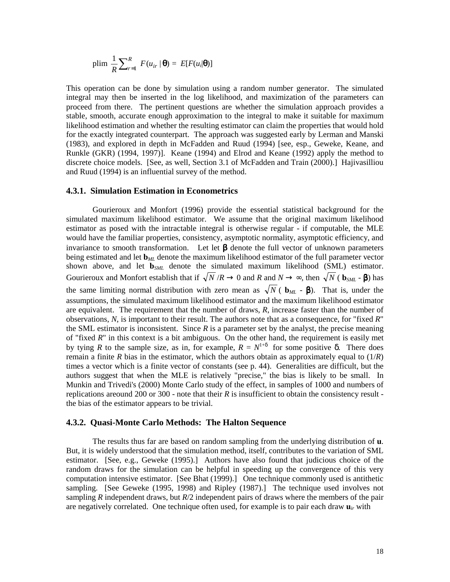$$
\text{plim}\;\frac{1}{R}\sum_{r=1}^{R}\;F(u_{ir}\;|\,\boldsymbol{\theta})\;=\;E[F(u_i|\boldsymbol{\theta})]
$$

This operation can be done by simulation using a random number generator. The simulated integral may then be inserted in the log likelihood, and maximization of the parameters can proceed from there. The pertinent questions are whether the simulation approach provides a stable, smooth, accurate enough approximation to the integral to make it suitable for maximum likelihood estimation and whether the resulting estimator can claim the properties that would hold for the exactly integrated counterpart. The approach was suggested early by Lerman and Manski (1983), and explored in depth in McFadden and Ruud (1994) [see, esp., Geweke, Keane, and Runkle (GKR) (1994, 1997)]. Keane (1994) and Elrod and Keane (1992) apply the method to discrete choice models. [See, as well, Section 3.1 of McFadden and Train (2000).] Hajivasilliou and Ruud (1994) is an influential survey of the method.

## **4.3.1. Simulation Estimation in Econometrics**

 Gourieroux and Monfort (1996) provide the essential statistical background for the simulated maximum likelihood estimator. We assume that the original maximum likelihood estimator as posed with the intractable integral is otherwise regular - if computable, the MLE would have the familiar properties, consistency, asymptotic normality, asymptotic efficiency, and invariance to smooth transformation. Let let  $\beta$  denote the full vector of unknown parameters being estimated and let **b***ML* denote the maximum likelihood estimator of the full parameter vector shown above, and let **b***SML* denote the simulated maximum likelihood (SML) estimator. Gourieroux and Monfort establish that if  $\sqrt{N}/R \to 0$  and  $R$  and  $N \to \infty$ , then  $\sqrt{N}$  ( $\mathbf{b}_{SML}$  -  $\beta$ ) has the same limiting normal distribution with zero mean as  $\sqrt{N}$  ( $\mathbf{b}_{ML}$  -  $\beta$ ). That is, under the assumptions, the simulated maximum likelihood estimator and the maximum likelihood estimator are equivalent. The requirement that the number of draws, *R*, increase faster than the number of observations, *N*, is important to their result. The authors note that as a consequence, for "fixed *R*" the SML estimator is inconsistent. Since  $R$  is a parameter set by the analyst, the precise meaning of "fixed *R*" in this context is a bit ambiguous. On the other hand, the requirement is easily met by tying *R* to the sample size, as in, for example,  $R = N^{1+\delta}$  for some positive  $\delta$ . There does remain a finite *R* bias in the estimator, which the authors obtain as approximately equal to  $(1/R)$ times a vector which is a finite vector of constants (see p. 44). Generalities are difficult, but the authors suggest that when the MLE is relatively "precise," the bias is likely to be small. In Munkin and Trivedi's (2000) Monte Carlo study of the effect, in samples of 1000 and numbers of replications are ound 200 or 300 - note that their  $R$  is insufficient to obtain the consistency result the bias of the estimator appears to be trivial.

## **4.3.2. Quasi-Monte Carlo Methods: The Halton Sequence**

 The results thus far are based on random sampling from the underlying distribution of **u**. But, it is widely understood that the simulation method, itself, contributes to the variation of SML estimator. [See, e.g., Geweke (1995).] Authors have also found that judicious choice of the random draws for the simulation can be helpful in speeding up the convergence of this very computation intensive estimator. [See Bhat (1999).] One technique commonly used is antithetic sampling. [See Geweke (1995, 1998) and Ripley (1987).] The technique used involves not sampling *R* independent draws, but *R*/2 independent pairs of draws where the members of the pair are negatively correlated. One technique often used, for example is to pair each draw  $\mathbf{u}_{ir}$  with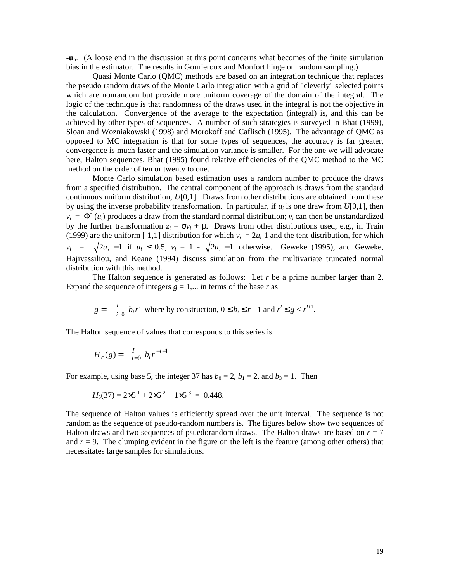**-u***ir*. (A loose end in the discussion at this point concerns what becomes of the finite simulation bias in the estimator. The results in Gourieroux and Monfort hinge on random sampling.)

 Quasi Monte Carlo (QMC) methods are based on an integration technique that replaces the pseudo random draws of the Monte Carlo integration with a grid of "cleverly" selected points which are nonrandom but provide more uniform coverage of the domain of the integral. The logic of the technique is that randomness of the draws used in the integral is not the objective in the calculation. Convergence of the average to the expectation (integral) is, and this can be achieved by other types of sequences. A number of such strategies is surveyed in Bhat (1999), Sloan and Wozniakowski (1998) and Morokoff and Caflisch (1995). The advantage of QMC as opposed to MC integration is that for some types of sequences, the accuracy is far greater, convergence is much faster and the simulation variance is smaller. For the one we will advocate here, Halton sequences, Bhat (1995) found relative efficiencies of the QMC method to the MC method on the order of ten or twenty to one.

 Monte Carlo simulation based estimation uses a random number to produce the draws from a specified distribution. The central component of the approach is draws from the standard continuous uniform distribution, *U*[0,1]. Draws from other distributions are obtained from these by using the inverse probability transformation. In particular, if  $u_i$  is one draw from  $U[0,1]$ , then  $v_i = \Phi^{-1}(u_i)$  produces a draw from the standard normal distribution;  $v_i$  can then be unstandardized by the further transformation  $z_i = \sigma v_i + \mu$ . Draws from other distributions used, e.g., in Train (1999) are the uniform [-1,1] distribution for which  $v_i = 2u_i$ -1 and the tent distribution, for which *v<sub>i</sub>* =  $\sqrt{2u_i}$  −1 if *u<sub>i</sub>* ≤ 0.5, *v<sub>i</sub>* = 1 -  $\sqrt{2u_i - 1}$  otherwise. Geweke (1995), and Geweke, Hajivassiliou, and Keane (1994) discuss simulation from the multivariate truncated normal distribution with this method.

The Halton sequence is generated as follows: Let  $r$  be a prime number larger than 2. Expand the sequence of integers  $g = 1, \dots$  in terms of the base  $r$  as

$$
g = \int_{i=0}^{I} b_i r^i
$$
 where by construction,  $0 \le b_i \le r - 1$  and  $r^l \le g < r^{l+1}$ .

The Halton sequence of values that corresponds to this series is

$$
H_r(g) = \int_{i=0}^{I} b_i r^{-i-1}
$$

For example, using base 5, the integer 37 has  $b_0 = 2$ ,  $b_1 = 2$ , and  $b_3 = 1$ . Then

$$
H_5(37) = 2 \times 5^{-1} + 2 \times 5^{-2} + 1 \times 5^{-3} = 0.448.
$$

The sequence of Halton values is efficiently spread over the unit interval. The sequence is not random as the sequence of pseudo-random numbers is. The figures below show two sequences of Halton draws and two sequences of psuedorandom draws. The Halton draws are based on  $r = 7$ and  $r = 9$ . The clumping evident in the figure on the left is the feature (among other others) that necessitates large samples for simulations.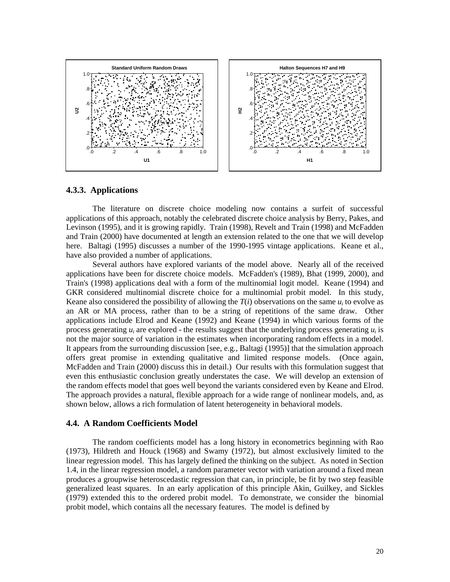

## **4.3.3. Applications**

The literature on discrete choice modeling now contains a surfeit of successful applications of this approach, notably the celebrated discrete choice analysis by Berry, Pakes, and Levinson (1995), and it is growing rapidly. Train (1998), Revelt and Train (1998) and McFadden and Train (2000) have documented at length an extension related to the one that we will develop here. Baltagi (1995) discusses a number of the 1990-1995 vintage applications. Keane et al., have also provided a number of applications.

 Several authors have explored variants of the model above. Nearly all of the received applications have been for discrete choice models. McFadden's (1989), Bhat (1999, 2000), and Train's (1998) applications deal with a form of the multinomial logit model. Keane (1994) and GKR considered multinomial discrete choice for a multinomial probit model. In this study, Keane also considered the possibility of allowing the  $T(i)$  observations on the same  $u_i$  to evolve as an AR or MA process, rather than to be a string of repetitions of the same draw. Other applications include Elrod and Keane (1992) and Keane (1994) in which various forms of the process generating  $u_i$  are explored - the results suggest that the underlying process generating  $u_i$  is not the major source of variation in the estimates when incorporating random effects in a model. It appears from the surrounding discussion [see, e.g., Baltagi (1995)] that the simulation approach offers great promise in extending qualitative and limited response models. (Once again, McFadden and Train (2000) discuss this in detail.) Our results with this formulation suggest that even this enthusiastic conclusion greatly understates the case. We will develop an extension of the random effects model that goes well beyond the variants considered even by Keane and Elrod. The approach provides a natural, flexible approach for a wide range of nonlinear models, and, as shown below, allows a rich formulation of latent heterogeneity in behavioral models.

#### **4.4. A Random Coefficients Model**

 The random coefficients model has a long history in econometrics beginning with Rao (1973), Hildreth and Houck (1968) and Swamy (1972), but almost exclusively limited to the linear regression model. This has largely defined the thinking on the subject. As noted in Section 1.4, in the linear regression model, a random parameter vector with variation around a fixed mean produces a groupwise heteroscedastic regression that can, in principle, be fit by two step feasible generalized least squares. In an early application of this principle Akin, Guilkey, and Sickles (1979) extended this to the ordered probit model. To demonstrate, we consider the binomial probit model, which contains all the necessary features. The model is defined by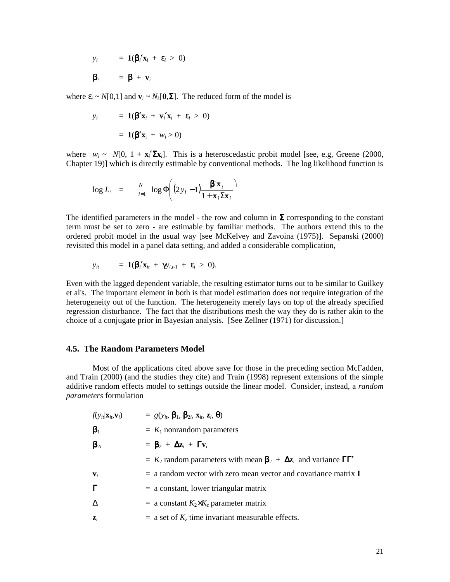$$
y_i = \mathbf{1}(\beta_i' \mathbf{x}_i + \varepsilon_i > 0)
$$

$$
\beta_i = \beta + \mathbf{v}_i
$$

where  $\varepsilon_i \sim N[0,1]$  and  $\mathbf{v}_i \sim N_k[\mathbf{0},\Sigma]$ . The reduced form of the model is

$$
y_i = \mathbf{1}(\boldsymbol{\beta}'\mathbf{x}_i + \mathbf{v}_i'\mathbf{x}_i + \varepsilon_i > 0)
$$

$$
= \mathbf{1}(\boldsymbol{\beta}'\mathbf{x}_i + w_i > 0)
$$

where  $w_i \sim N[0, 1 + \mathbf{x}_i' \mathbf{\Sigma} \mathbf{x}_i]$ . This is a heteroscedastic probit model [see, e.g, Greene (2000, Chapter 19)] which is directly estimable by conventional methods. The log likelihood function is

$$
\log L_i = \sum_{i=1}^N \log \Phi\left((2y_i - 1)\frac{\beta' \mathbf{x}_i}{1 + \mathbf{x}_i \Sigma \mathbf{x}_i}\right)
$$

The identified parameters in the model - the row and column in  $\Sigma$  corresponding to the constant term must be set to zero - are estimable by familiar methods. The authors extend this to the ordered probit model in the usual way [see McKelvey and Zavoina (1975)]. Sepanski (2000) revisited this model in a panel data setting, and added a considerable complication,

$$
y_{it} = 1(\beta_i' \mathbf{x}_{it} + \gamma y_{i,t-1} + \varepsilon_i > 0).
$$

Even with the lagged dependent variable, the resulting estimator turns out to be similar to Guilkey et al's. The important element in both is that model estimation does not require integration of the heterogeneity out of the function. The heterogeneity merely lays on top of the already specified regression disturbance. The fact that the distributions mesh the way they do is rather akin to the choice of a conjugate prior in Bayesian analysis. [See Zellner (1971) for discussion.]

## **4.5. The Random Parameters Model**

 Most of the applications cited above save for those in the preceding section McFadden, and Train (2000) (and the studies they cite) and Train (1998) represent extensions of the simple additive random effects model to settings outside the linear model. Consider, instead, a *random parameters* formulation

| $f(y_{it} \mathbf{x}_{it},\mathbf{v}_i)$ | $= g(y_{it}, \beta_1, \beta_2, x_{it}, z_i, \theta)$                                     |  |  |  |  |  |
|------------------------------------------|------------------------------------------------------------------------------------------|--|--|--|--|--|
| $\beta_1$                                | $= K_1$ nonrandom parameters                                                             |  |  |  |  |  |
| $\beta_{2i}$                             | $=$ $\mathbf{\beta}_2$ + $\mathbf{\Delta} \mathbf{z}_i$ + $\mathbf{\Gamma} \mathbf{v}_i$ |  |  |  |  |  |
|                                          | $K_2$ random parameters with mean $\beta_2 + \Delta z_i$ and variance $\Gamma \Gamma'$   |  |  |  |  |  |
| $\mathbf{V}_i$                           | $=$ a random vector with zero mean vector and covariance matrix I                        |  |  |  |  |  |
| $\Gamma$                                 | $=$ a constant, lower triangular matrix                                                  |  |  |  |  |  |
| Δ                                        | = a constant $K_2 \times K_z$ parameter matrix                                           |  |  |  |  |  |
| $\mathbf{Z}_i$                           | $=$ a set of $K_z$ time invariant measurable effects.                                    |  |  |  |  |  |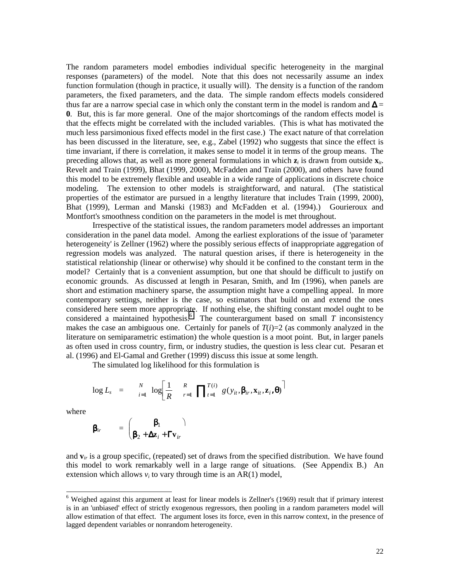The random parameters model embodies individual specific heterogeneity in the marginal responses (parameters) of the model. Note that this does not necessarily assume an index function formulation (though in practice, it usually will). The density is a function of the random parameters, the fixed parameters, and the data. The simple random effects models considered thus far are a narrow special case in which only the constant term in the model is random and  $\Delta$  = **0**. But, this is far more general. One of the major shortcomings of the random effects model is that the effects might be correlated with the included variables. (This is what has motivated the much less parsimonious fixed effects model in the first case.) The exact nature of that correlation has been discussed in the literature, see, e.g., Zabel (1992) who suggests that since the effect is time invariant, if there is correlation, it makes sense to model it in terms of the group means. The preceding allows that, as well as more general formulations in which  $z_i$  is drawn from outside  $x_i$ . Revelt and Train (1999), Bhat (1999, 2000), McFadden and Train (2000), and others have found this model to be extremely flexible and useable in a wide range of applications in discrete choice modeling. The extension to other models is straightforward, and natural. (The statistical properties of the estimator are pursued in a lengthy literature that includes Train (1999, 2000), Bhat (1999), Lerman and Manski (1983) and McFadden et al. (1994).) Gourieroux and Montfort's smoothness condition on the parameters in the model is met throughout.

 Irrespective of the statistical issues, the random parameters model addresses an important consideration in the panel data model. Among the earliest explorations of the issue of 'parameter heterogeneity' is Zellner (1962) where the possibly serious effects of inappropriate aggregation of regression models was analyzed. The natural question arises, if there is heterogeneity in the statistical relationship (linear or otherwise) why should it be confined to the constant term in the model? Certainly that is a convenient assumption, but one that should be difficult to justify on economic grounds. As discussed at length in Pesaran, Smith, and Im (1996), when panels are short and estimation machinery sparse, the assumption might have a compelling appeal. In more contemporary settings, neither is the case, so estimators that build on and extend the ones considered here seem more appropriate. If nothing else, the shifting constant model ought to be considered a maintained hypothesis.<sup>6</sup> The counterargument based on small  $T$  inconsistency makes the case an ambiguous one. Certainly for panels of  $T(i)=2$  (as commonly analyzed in the literature on semiparametric estimation) the whole question is a moot point. But, in larger panels as often used in cross country, firm, or industry studies, the question is less clear cut. Pesaran et al. (1996) and El-Gamal and Grether (1999) discuss this issue at some length.

The simulated log likelihood for this formulation is

$$
\log L_s = \sum_{i=1}^N \log \left[ \frac{1}{R} \quad \frac{R}{r-1} \prod_{t=1}^{T(i)} g(y_{it}, \beta_{ir}, \mathbf{x}_{it}, \mathbf{z}_i, \boldsymbol{\theta}) \right]
$$

where

l

$$
\mathbf{\beta}_{ir} = \begin{pmatrix} \mathbf{\beta}_1 & \mathbf{\beta}_2 \\ \mathbf{\beta}_2 + \Delta \mathbf{z}_i + \mathbf{\Gamma} \mathbf{v}_{ir} \end{pmatrix}
$$

and  $\mathbf{v}_i$  is a group specific, (repeated) set of draws from the specified distribution. We have found this model to work remarkably well in a large range of situations. (See Appendix B.) An extension which allows  $v_i$  to vary through time is an  $AR(1)$  model,

<sup>&</sup>lt;sup>6</sup> Weighed against this argument at least for linear models is Zellner's (1969) result that if primary interest is in an 'unbiased' effect of strictly exogenous regressors, then pooling in a random parameters model will allow estimation of that effect. The argument loses its force, even in this narrow context, in the presence of lagged dependent variables or nonrandom heterogeneity.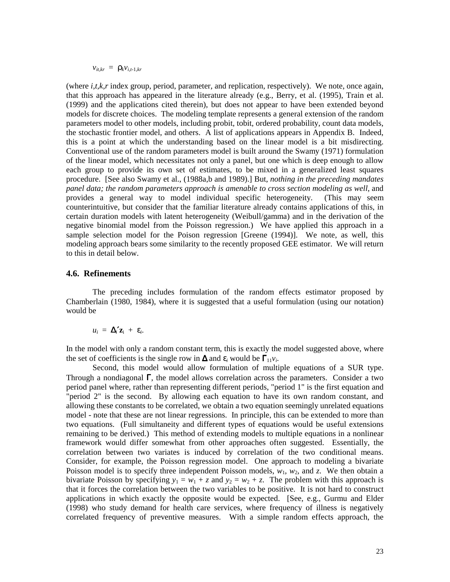$v_{it,kr} = \rho_k v_{i,t-1,kr}$ 

(where *i,t,k,r* index group, period, parameter, and replication, respectively). We note, once again, that this approach has appeared in the literature already (e.g., Berry, et al. (1995), Train et al. (1999) and the applications cited therein), but does not appear to have been extended beyond models for discrete choices. The modeling template represents a general extension of the random parameters model to other models, including probit, tobit, ordered probability, count data models, the stochastic frontier model, and others. A list of applications appears in Appendix B. Indeed, this is a point at which the understanding based on the linear model is a bit misdirecting. Conventional use of the random parameters model is built around the Swamy (1971) formulation of the linear model, which necessitates not only a panel, but one which is deep enough to allow each group to provide its own set of estimates, to be mixed in a generalized least squares procedure. [See also Swamy et al., (1988a,b and 1989).] But, *nothing in the preceding mandates panel data; the random parameters approach is amenable to cross section modeling as well*, and provides a general way to model individual specific heterogeneity. (This may seem counterintuitive, but consider that the familiar literature already contains applications of this, in certain duration models with latent heterogeneity (Weibull/gamma) and in the derivation of the negative binomial model from the Poisson regression.) We have applied this approach in a sample selection model for the Poison regression [Greene (1994)]. We note, as well, this modeling approach bears some similarity to the recently proposed GEE estimator. We will return to this in detail below.

# **4.6. Refinements**

 The preceding includes formulation of the random effects estimator proposed by Chamberlain (1980, 1984), where it is suggested that a useful formulation (using our notation) would be

$$
u_i = \Delta_i' \mathbf{z}_i + \varepsilon_i.
$$

In the model with only a random constant term, this is exactly the model suggested above, where the set of coefficients is the single row in  $\Delta$  and  $\varepsilon_i$  would be  $\Gamma_{11}v_i$ .

Second, this model would allow formulation of multiple equations of a SUR type. Through a nondiagonal Γ, the model allows correlation across the parameters. Consider a two period panel where, rather than representing different periods, "period 1" is the first equation and "period 2" is the second. By allowing each equation to have its own random constant, and allowing these constants to be correlated, we obtain a two equation seemingly unrelated equations model - note that these are not linear regressions. In principle, this can be extended to more than two equations. (Full simultaneity and different types of equations would be useful extensions remaining to be derived.) This method of extending models to multiple equations in a nonlinear framework would differ somewhat from other approaches often suggested. Essentially, the correlation between two variates is induced by correlation of the two conditional means. Consider, for example, the Poisson regression model. One approach to modeling a bivariate Poisson model is to specify three independent Poisson models,  $w_1$ ,  $w_2$ , and *z*. We then obtain a bivariate Poisson by specifying  $y_1 = w_1 + z$  and  $y_2 = w_2 + z$ . The problem with this approach is that it forces the correlation between the two variables to be positive. It is not hard to construct applications in which exactly the opposite would be expected. [See, e.g., Gurmu and Elder (1998) who study demand for health care services, where frequency of illness is negatively correlated frequency of preventive measures. With a simple random effects approach, the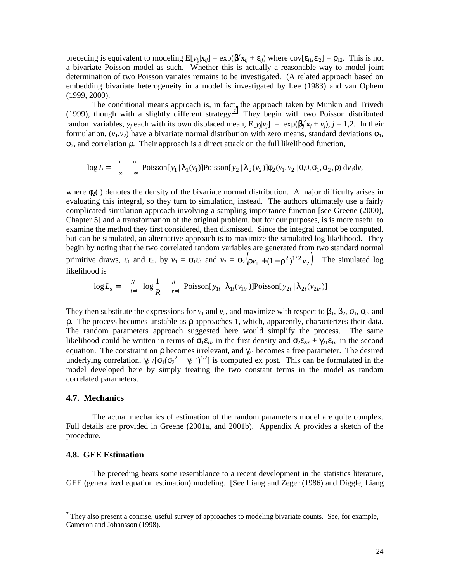preceding is equivalent to modeling  $E[y_{ij}|\mathbf{x}_{ij}] = \exp(\mathbf{\beta}'\mathbf{x}_{ij} + \varepsilon_{ij})$  where  $cov[\varepsilon_{i1}, \varepsilon_{i2}] = \rho_{12}$ . This is not a bivariate Poisson model as such. Whether this is actually a reasonable way to model joint determination of two Poisson variates remains to be investigated. (A related approach based on embedding bivariate heterogeneity in a model is investigated by Lee (1983) and van Ophem (1999, 2000).

The conditional means approach is, in fact, the approach taken by Munkin and Trivedi (1999), though with a slightly different strategy.<sup>7</sup> They begin with two Poisson distributed random variables,  $y_i$  each with its own displaced mean,  $E[y_i|v_i] = \exp(\beta_i' x_i + v_i)$ ,  $j = 1,2$ . In their formulation,  $(v_1, v_2)$  have a bivariate normal distribution with zero means, standard deviations  $\sigma_1$ ,  $σ<sub>2</sub>$ , and correlation  $ρ$ . Their approach is a direct attack on the full likelihood function,

$$
\log L = \int_{-\infty}^{\infty} \sum_{-\infty}^{\infty} \text{Poisson}[y_1 | \lambda_1(v_1)] \text{Poisson}[y_2 | \lambda_2(v_2)] \phi_2(v_1, v_2 | 0, 0, \sigma_1, \sigma_2, \rho) dv_1 dv_2
$$

where  $\phi_2$ .) denotes the density of the bivariate normal distribution. A major difficulty arises in evaluating this integral, so they turn to simulation, instead. The authors ultimately use a fairly complicated simulation approach involving a sampling importance function [see Greene (2000), Chapter 5] and a transformation of the original problem, but for our purposes, is is more useful to examine the method they first considered, then dismissed. Since the integral cannot be computed, but can be simulated, an alternative approach is to maximize the simulated log likelihood. They begin by noting that the two correlated random variables are generated from two standard normal

primitive draws,  $\varepsilon_1$  and  $\varepsilon_2$ , by  $v_1 = \sigma_1 \varepsilon_1$  and  $v_2 = \sigma_2 (\rho v_1 + (1 - \rho^2)^{1/2} v_2)$ . The simulated log likelihood is

$$
\log L_s = \sum_{i=1}^N \log \frac{1}{R} \sum_{r=1}^R \text{Poisson}[y_{1i} | \lambda_{1i}(v_{1ir})] \text{Poisson}[y_{2i} | \lambda_{2i}(v_{2ir})]
$$

They then substitute the expressions for  $v_1$  and  $v_2$ , and maximize with respect to  $\beta_1$ ,  $\beta_2$ ,  $\sigma_1$ ,  $\sigma_2$ , and  $ρ$ . The process becomes unstable as  $ρ$  approaches 1, which, apparently, characterizes their data. The random parameters approach suggested here would simplify the process. The same likelihood could be written in terms of  $\sigma_1 \varepsilon_{1ir}$  in the first density and  $\sigma_2 \varepsilon_{2ir} + \gamma_{21} \varepsilon_{1ir}$  in the second equation. The constraint on  $\rho$  becomes irrelevant, and  $\gamma_{21}$  becomes a free parameter. The desired underlying correlation,  $\gamma_{21}/[\sigma_1(\sigma_2^2 + \gamma_{21}^2)^{1/2}]$  is computed ex post. This can be formulated in the model developed here by simply treating the two constant terms in the model as random correlated parameters.

# **4.7. Mechanics**

 The actual mechanics of estimation of the random parameters model are quite complex. Full details are provided in Greene (2001a, and 2001b). Appendix A provides a sketch of the procedure.

# **4.8. GEE Estimation**

 The preceding bears some resemblance to a recent development in the statistics literature, GEE (generalized equation estimation) modeling. [See Liang and Zeger (1986) and Diggle, Liang

<sup>&</sup>lt;sup>7</sup> They also present a concise, useful survey of approaches to modeling bivariate counts. See, for example, Cameron and Johansson (1998).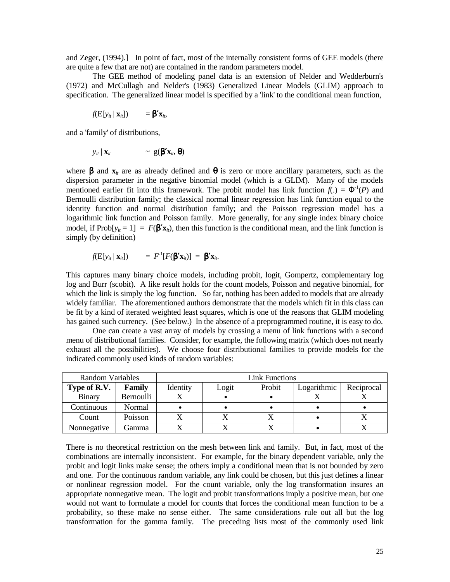and Zeger, (1994).] In point of fact, most of the internally consistent forms of GEE models (there are quite a few that are not) are contained in the random parameters model.

 The GEE method of modeling panel data is an extension of Nelder and Wedderburn's (1972) and McCullagh and Nelder's (1983) Generalized Linear Models (GLIM) approach to specification. The generalized linear model is specified by a 'link' to the conditional mean function,

$$
f(\mathbf{E}[y_{it} \mid \mathbf{x}_{it}]) = \mathbf{\beta}' \mathbf{x}_{it},
$$

and a 'family' of distributions,

$$
y_{it} | \mathbf{x}_{it} \qquad \sim \mathbf{g}(\boldsymbol{\beta}^{\prime} \mathbf{x}_{it}, \boldsymbol{\theta})
$$

where  $\beta$  and  $\mathbf{x}_i$  are as already defined and  $\theta$  is zero or more ancillary parameters, such as the dispersion parameter in the negative binomial model (which is a GLIM). Many of the models mentioned earlier fit into this framework. The probit model has link function  $f(.) = \Phi^{-1}(P)$  and Bernoulli distribution family; the classical normal linear regression has link function equal to the identity function and normal distribution family; and the Poisson regression model has a logarithmic link function and Poisson family. More generally, for any single index binary choice model, if  $\text{Prob}[y_i = 1] = F(\mathbf{\beta}' \mathbf{x}_i)$ , then this function is the conditional mean, and the link function is simply (by definition)

$$
f(\mathbf{E}[y_{it} \mid \mathbf{x}_{it}]) = F^{-1}[F(\mathbf{\beta}^{\prime} \mathbf{x}_{it})] = \mathbf{\beta}^{\prime} \mathbf{x}_{it}.
$$

This captures many binary choice models, including probit, logit, Gompertz, complementary log log and Burr (scobit). A like result holds for the count models, Poisson and negative binomial, for which the link is simply the log function. So far, nothing has been added to models that are already widely familiar. The aforementioned authors demonstrate that the models which fit in this class can be fit by a kind of iterated weighted least squares, which is one of the reasons that GLIM modeling has gained such currency. (See below.) In the absence of a preprogrammed routine, it is easy to do.

 One can create a vast array of models by crossing a menu of link functions with a second menu of distributional families. Consider, for example, the following matrix (which does not nearly exhaust all the possibilities). We choose four distributional families to provide models for the indicated commonly used kinds of random variables:

| Random Variables |               | Link Functions |       |        |             |            |  |
|------------------|---------------|----------------|-------|--------|-------------|------------|--|
| Type of R.V.     | <b>Family</b> | Identity       | Logit | Probit | Logarithmic | Reciprocal |  |
| <b>Binary</b>    | Bernoulli     |                |       |        |             |            |  |
| Continuous       | Normal        |                |       |        |             |            |  |
| Count            | Poisson       |                |       |        |             |            |  |
| Nonnegative      | . iamma       |                |       |        |             |            |  |

There is no theoretical restriction on the mesh between link and family. But, in fact, most of the combinations are internally inconsistent. For example, for the binary dependent variable, only the probit and logit links make sense; the others imply a conditional mean that is not bounded by zero and one. For the continuous random variable, any link could be chosen, but this just defines a linear or nonlinear regression model. For the count variable, only the log transformation insures an appropriate nonnegative mean. The logit and probit transformations imply a positive mean, but one would not want to formulate a model for counts that forces the conditional mean function to be a probability, so these make no sense either. The same considerations rule out all but the log transformation for the gamma family. The preceding lists most of the commonly used link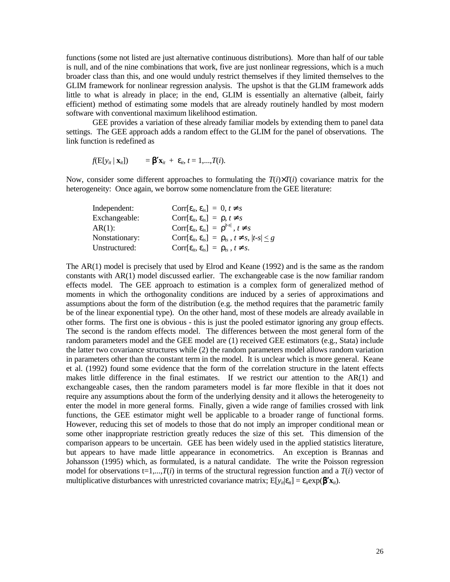functions (some not listed are just alternative continuous distributions). More than half of our table is null, and of the nine combinations that work, five are just nonlinear regressions, which is a much broader class than this, and one would unduly restrict themselves if they limited themselves to the GLIM framework for nonlinear regression analysis. The upshot is that the GLIM framework adds little to what is already in place; in the end, GLIM is essentially an alternative (albeit, fairly efficient) method of estimating some models that are already routinely handled by most modern software with conventional maximum likelihood estimation.

 GEE provides a variation of these already familiar models by extending them to panel data settings. The GEE approach adds a random effect to the GLIM for the panel of observations. The link function is redefined as

$$
f(\mathbf{E}[y_{it} \mid \mathbf{x}_{it}]) = \mathbf{\beta}' \mathbf{x}_{it} + \varepsilon_{it}, t = 1, ..., T(i).
$$

Now, consider some different approaches to formulating the  $T(i)\times T(i)$  covariance matrix for the heterogeneity: Once again, we borrow some nomenclature from the GEE literature:

The AR(1) model is precisely that used by Elrod and Keane (1992) and is the same as the random constants with AR(1) model discussed earlier. The exchangeable case is the now familiar random effects model. The GEE approach to estimation is a complex form of generalized method of moments in which the orthogonality conditions are induced by a series of approximations and assumptions about the form of the distribution (e.g. the method requires that the parametric family be of the linear exponential type). On the other hand, most of these models are already available in other forms. The first one is obvious - this is just the pooled estimator ignoring any group effects. The second is the random effects model. The differences between the most general form of the random parameters model and the GEE model are (1) received GEE estimators (e.g., Stata) include the latter two covariance structures while (2) the random parameters model allows random variation in parameters other than the constant term in the model. It is unclear which is more general. Keane et al. (1992) found some evidence that the form of the correlation structure in the latent effects makes little difference in the final estimates. If we restrict our attention to the AR(1) and exchangeable cases, then the random parameters model is far more flexible in that it does not require any assumptions about the form of the underlying density and it allows the heterogeneity to enter the model in more general forms. Finally, given a wide range of families crossed with link functions, the GEE estimator might well be applicable to a broader range of functional forms. However, reducing this set of models to those that do not imply an improper conditional mean or some other inappropriate restriction greatly reduces the size of this set. This dimension of the comparison appears to be uncertain. GEE has been widely used in the applied statistics literature, but appears to have made little appearance in econometrics. An exception is Brannas and Johansson (1995) which, as formulated, is a natural candidate. The write the Poisson regression model for observations  $t=1,...,T(i)$  in terms of the structural regression function and a  $T(i)$  vector of multiplicative disturbances with unrestricted covariance matrix;  $E[y_{it}|\varepsilon_{it}] = \varepsilon_i \exp(\mathbf{\beta'}\mathbf{x}_{it})$ .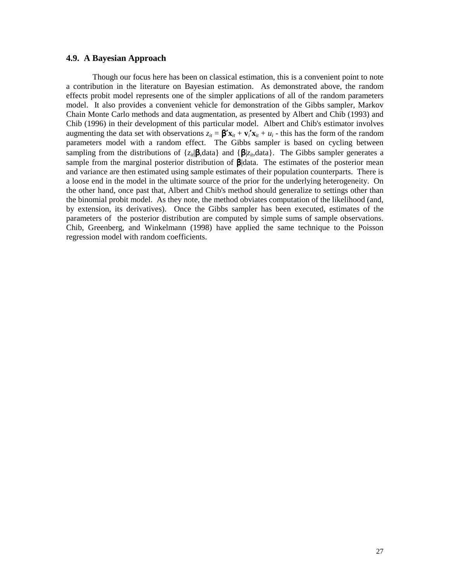# **4.9. A Bayesian Approach**

 Though our focus here has been on classical estimation, this is a convenient point to note a contribution in the literature on Bayesian estimation. As demonstrated above, the random effects probit model represents one of the simpler applications of all of the random parameters model. It also provides a convenient vehicle for demonstration of the Gibbs sampler, Markov Chain Monte Carlo methods and data augmentation, as presented by Albert and Chib (1993) and Chib (1996) in their development of this particular model. Albert and Chib's estimator involves augmenting the data set with observations  $z_{it} = \beta' \mathbf{x}_{it} + \mathbf{v}_{i}' \mathbf{x}_{it} + u_{i}$  - this has the form of the random parameters model with a random effect. The Gibbs sampler is based on cycling between sampling from the distributions of  $\{z_{it}|\boldsymbol{\beta},\text{data}\}$  and  $\{\boldsymbol{\beta}|z_{it},\text{data}\}$ . The Gibbs sampler generates a sample from the marginal posterior distribution of  $\beta$ data. The estimates of the posterior mean and variance are then estimated using sample estimates of their population counterparts. There is a loose end in the model in the ultimate source of the prior for the underlying heterogeneity. On the other hand, once past that, Albert and Chib's method should generalize to settings other than the binomial probit model. As they note, the method obviates computation of the likelihood (and, by extension, its derivatives). Once the Gibbs sampler has been executed, estimates of the parameters of the posterior distribution are computed by simple sums of sample observations. Chib, Greenberg, and Winkelmann (1998) have applied the same technique to the Poisson regression model with random coefficients.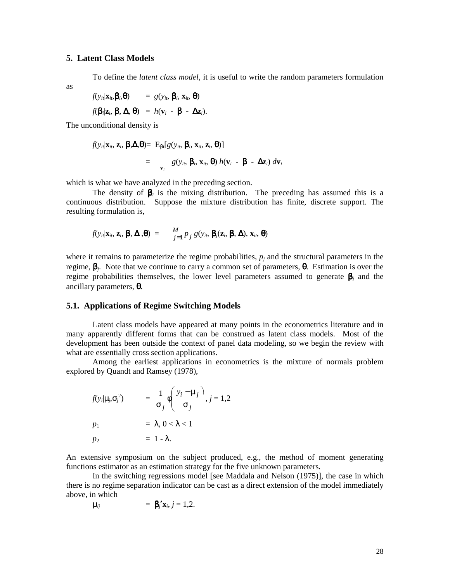# **5. Latent Class Models**

To define the *latent class model*, it is useful to write the random parameters formulation

as

$$
f(y_{it}|\mathbf{x}_{it},\boldsymbol{\beta}_{i},\boldsymbol{\theta}) = g(y_{it}, \boldsymbol{\beta}_{i}, \mathbf{x}_{it}, \boldsymbol{\theta})
$$

$$
f(\boldsymbol{\beta}_{i}|\mathbf{z}_{i}, \boldsymbol{\beta}, \boldsymbol{\Delta}, \boldsymbol{\theta}) = h(\mathbf{v}_{i} - \boldsymbol{\beta} - \boldsymbol{\Delta}\mathbf{z}_{i}).
$$

The unconditional density is

$$
f(y_{ii}|\mathbf{x}_{ii}, \mathbf{z}_{i}, \boldsymbol{\beta}, \boldsymbol{\Delta}, \boldsymbol{\theta}) = E_{\beta i}[g(y_{ii}, \boldsymbol{\beta}_{i}, \mathbf{x}_{ii}, \mathbf{z}_{i}, \boldsymbol{\theta})]
$$
  
=  $g(y_{ii}, \boldsymbol{\beta}_{i}, \mathbf{x}_{ii}, \boldsymbol{\theta}) h(\mathbf{v}_{i} - \boldsymbol{\beta} - \boldsymbol{\Delta}\mathbf{z}_{i}) d\mathbf{v}_{i}$ 

which is what we have analyzed in the preceding section.

The density of  $\beta$ <sub>*i*</sub> is the mixing distribution. The preceding has assumed this is a continuous distribution. Suppose the mixture distribution has finite, discrete support. The resulting formulation is,

$$
f(y_{ii}|\mathbf{x}_{ii},\mathbf{z}_{i},\boldsymbol{\beta},\boldsymbol{\Delta},\boldsymbol{\theta}) = \frac{M}{j=1} p_{j} g(y_{ii},\boldsymbol{\beta}_{i}(\mathbf{z}_{i},\boldsymbol{\beta},\boldsymbol{\Delta}),\mathbf{x}_{ii},\boldsymbol{\theta})
$$

where it remains to parameterize the regime probabilities,  $p_i$  and the structural parameters in the regime, β*j*. Note that we continue to carry a common set of parameters, θ. Estimation is over the regime probabilities themselves, the lower level parameters assumed to generate β*<sup>j</sup>* and the ancillary parameters, θ.

# **5.1. Applications of Regime Switching Models**

Latent class models have appeared at many points in the econometrics literature and in many apparently different forms that can be construed as latent class models. Most of the development has been outside the context of panel data modeling, so we begin the review with what are essentially cross section applications.

 Among the earliest applications in econometrics is the mixture of normals problem explored by Quandt and Ramsey (1978),

$$
f(y_i|\mu_j, \sigma_j^2) = \frac{1}{\sigma_j} \phi \left( \frac{y_i - \mu_j}{\sigma_j} \right), j = 1, 2
$$
  
\n
$$
p_1 = \lambda, 0 < \lambda < 1
$$
  
\n
$$
p_2 = 1 - \lambda.
$$

An extensive symposium on the subject produced, e.g., the method of moment generating functions estimator as an estimation strategy for the five unknown parameters.

 In the switching regressions model [see Maddala and Nelson (1975)], the case in which there is no regime separation indicator can be cast as a direct extension of the model immediately above, in which

$$
\mu_{ij} = \beta_j' \mathbf{x}_i, j = 1,2.
$$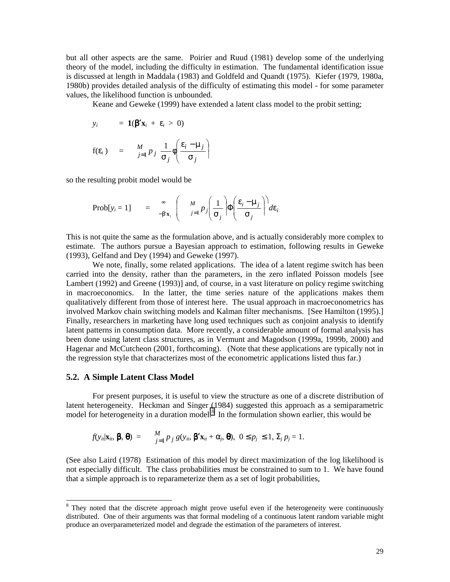but all other aspects are the same. Poirier and Ruud (1981) develop some of the underlying theory of the model, including the difficulty in estimation. The fundamental identification issue is discussed at length in Maddala (1983) and Goldfeld and Quandt (1975). Kiefer (1979, 1980a, 1980b) provides detailed analysis of the difficulty of estimating this model - for some parameter values, the likelihood function is unbounded.

Keane and Geweke (1999) have extended a latent class model to the probit setting;

$$
y_i = \mathbf{1}(\boldsymbol{\beta}' \mathbf{x}_i + \varepsilon_i > 0)
$$
  
 
$$
f(\varepsilon_i) = \frac{M}{j=1} p_j \frac{1}{\sigma_j} \phi \left( \frac{\varepsilon_i - \mu_j}{\sigma_j} \right)
$$

so the resulting probit model would be

$$
\text{Prob}[y_i = 1] = \infty_{-\beta' \mathbf{x}_i} \left( \frac{M}{j=1} p_j \left( \frac{1}{\sigma_j} \right) \Phi \left( \frac{\varepsilon_i - \mu_j}{\sigma_j} \right) d\varepsilon_i \right)
$$

This is not quite the same as the formulation above, and is actually considerably more complex to estimate. The authors pursue a Bayesian approach to estimation, following results in Geweke (1993), Gelfand and Dey (1994) and Geweke (1997).

 We note, finally, some related applications. The idea of a latent regime switch has been carried into the density, rather than the parameters, in the zero inflated Poisson models [see Lambert (1992) and Greene (1993)] and, of course, in a vast literature on policy regime switching in macroeconomics. In the latter, the time series nature of the applications makes them qualitatively different from those of interest here. The usual approach in macroeconometrics has involved Markov chain switching models and Kalman filter mechanisms. [See Hamilton (1995).] Finally, researchers in marketing have long used techniques such as conjoint analysis to identify latent patterns in consumption data. More recently, a considerable amount of formal analysis has been done using latent class structures, as in Vermunt and Magodson (1999a, 1999b, 2000) and Hagenar and McCutcheon (2001, forthcoming). (Note that these applications are typically not in the regression style that characterizes most of the econometric applications listed thus far.)

## **5.2. A Simple Latent Class Model**

 $\overline{a}$ 

 For present purposes, it is useful to view the structure as one of a discrete distribution of latent heterogeneity. Heckman and Singer (1984) suggested this approach as a semiparametric model for heterogeneity in a duration model.<sup>8</sup> In the formulation shown earlier, this would be

$$
f(y_{ii}|\mathbf{x}_{ii}, \boldsymbol{\beta}, \boldsymbol{\theta}) = \tfrac{M}{j=1} p_j g(y_{ii}, \boldsymbol{\beta}' \mathbf{x}_{ii} + \alpha_j, \boldsymbol{\theta}), \ 0 \leq p_j \leq 1, \Sigma_j p_j = 1.
$$

(See also Laird (1978) Estimation of this model by direct maximization of the log likelihood is not especially difficult. The class probabilities must be constrained to sum to 1. We have found that a simple approach is to reparameterize them as a set of logit probabilities,

<sup>&</sup>lt;sup>8</sup> They noted that the discrete approach might prove useful even if the heterogeneity were continuously distributed. One of their arguments was that formal modeling of a continuous latent random variable might produce an overparameterized model and degrade the estimation of the parameters of interest.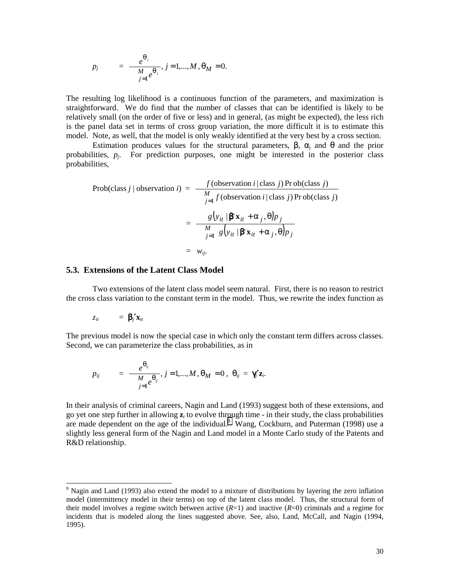$$
p_j
$$
 =  $\frac{e^{\theta_j}}{\frac{M}{j=1}e^{\theta_j}}$ ,  $j = 1,...,M$ ,  $\theta_M = 0$ .

The resulting log likelihood is a continuous function of the parameters, and maximization is straightforward. We do find that the number of classes that can be identified is likely to be relatively small (on the order of five or less) and in general, (as might be expected), the less rich is the panel data set in terms of cross group variation, the more difficult it is to estimate this model. Note, as well, that the model is only weakly identified at the very best by a cross section.

Estimation produces values for the structural parameters,  $\beta$ ,  $\alpha_i$  and  $\theta$  and the prior probabilities,  $p_i$ . For prediction purposes, one might be interested in the posterior class probabilities,

Prob(class j | observation i) = 
$$
\frac{f(\text{observation } i | \text{class } j) \text{ Pr ob}(\text{class } j)}{\frac{M}{j=1} f(\text{observation } i | \text{class } j) \text{ Pr ob}(\text{class } j)}
$$

$$
= \frac{g(y_{it} | \mathbf{\beta}^{\mathsf{T}} \mathbf{x}_{it} + \alpha_{j}, \theta) p_{j}}{\frac{M}{j=1} g(y_{it} | \mathbf{\beta}^{\mathsf{T}} \mathbf{x}_{it} + \alpha_{j}, \theta) p_{j}}
$$

$$
= w_{ij}.
$$

#### **5.3. Extensions of the Latent Class Model**

Two extensions of the latent class model seem natural. First, there is no reason to restrict the cross class variation to the constant term in the model. Thus, we rewrite the index function as

$$
z_{it} = \beta_j' \mathbf{x}_{it}
$$

The previous model is now the special case in which only the constant term differs across classes. Second, we can parameterize the class probabilities, as in

$$
p_{ij} = \frac{e^{\theta_{ij}}}{\frac{M}{j=1}e^{\theta_{ij}}}, j=1,...,M, \theta_M=0, \ \theta_{ij}=\gamma'_j\mathbf{z}_i.
$$

In their analysis of criminal careers, Nagin and Land (1993) suggest both of these extensions, and go yet one step further in allowing **z***i* to evolve through time - in their study, the class probabilities are made dependent on the age of the individual.<sup>9</sup> Wang, Cockburn, and Puterman  $(1998)$  use a slightly less general form of the Nagin and Land model in a Monte Carlo study of the Patents and R&D relationship.

<sup>&</sup>lt;sup>9</sup> Nagin and Land (1993) also extend the model to a mixture of distributions by layering the zero inflation model (intermittency model in their terms) on top of the latent class model. Thus, the structural form of their model involves a regime switch between active  $(R=1)$  and inactive  $(R=0)$  criminals and a regime for incidents that is modeled along the lines suggested above. See, also, Land, McCall, and Nagin (1994, 1995).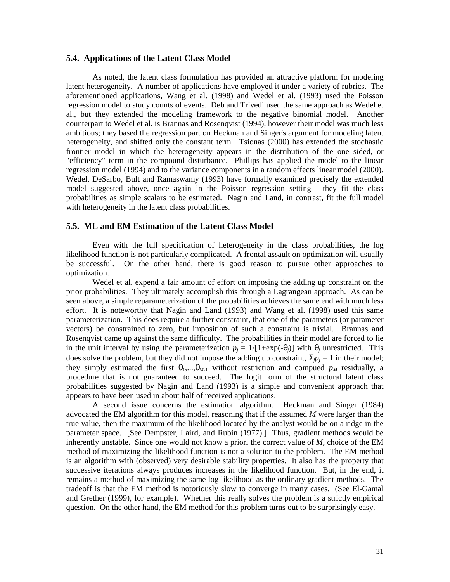# **5.4. Applications of the Latent Class Model**

 As noted, the latent class formulation has provided an attractive platform for modeling latent heterogeneity. A number of applications have employed it under a variety of rubrics. The aforementioned applications, Wang et al. (1998) and Wedel et al. (1993) used the Poisson regression model to study counts of events. Deb and Trivedi used the same approach as Wedel et al., but they extended the modeling framework to the negative binomial model. Another counterpart to Wedel et al. is Brannas and Rosenqvist (1994), however their model was much less ambitious; they based the regression part on Heckman and Singer's argument for modeling latent heterogeneity, and shifted only the constant term. Tsionas (2000) has extended the stochastic frontier model in which the heterogeneity appears in the distribution of the one sided, or "efficiency" term in the compound disturbance. Phillips has applied the model to the linear regression model (1994) and to the variance components in a random effects linear model (2000). Wedel, DeSarbo, Bult and Ramaswamy (1993) have formally examined precisely the extended model suggested above, once again in the Poisson regression setting - they fit the class probabilities as simple scalars to be estimated. Nagin and Land, in contrast, fit the full model with heterogeneity in the latent class probabilities.

# **5.5. ML and EM Estimation of the Latent Class Model**

 Even with the full specification of heterogeneity in the class probabilities, the log likelihood function is not particularly complicated. A frontal assault on optimization will usually be successful. On the other hand, there is good reason to pursue other approaches to optimization.

Wedel et al. expend a fair amount of effort on imposing the adding up constraint on the prior probabilities. They ultimately accomplish this through a Lagrangean approach. As can be seen above, a simple reparameterization of the probabilities achieves the same end with much less effort. It is noteworthy that Nagin and Land (1993) and Wang et al. (1998) used this same parameterization. This does require a further constraint, that one of the parameters (or parameter vectors) be constrained to zero, but imposition of such a constraint is trivial. Brannas and Rosenqvist came up against the same difficulty. The probabilities in their model are forced to lie in the unit interval by using the parameterization  $p_i = 1/[1+\exp(-\theta_i)]$  with  $\theta_i$  unrestricted. This does solve the problem, but they did not impose the adding up constraint,  $\Sigma_j p_j = 1$  in their model; they simply estimated the first  $\theta_1, \ldots, \theta_{M-1}$  without restriction and compued  $p_M$  residually, a procedure that is not guaranteed to succeed. The logit form of the structural latent class probabilities suggested by Nagin and Land (1993) is a simple and convenient approach that appears to have been used in about half of received applications.

A second issue concerns the estimation algorithm. Heckman and Singer (1984) advocated the EM algorithm for this model, reasoning that if the assumed *M* were larger than the true value, then the maximum of the likelihood located by the analyst would be on a ridge in the parameter space. [See Dempster, Laird, and Rubin (1977).] Thus, gradient methods would be inherently unstable. Since one would not know a priori the correct value of *M*, choice of the EM method of maximizing the likelihood function is not a solution to the problem. The EM method is an algorithm with (observed) very desirable stability properties. It also has the property that successive iterations always produces increases in the likelihood function. But, in the end, it remains a method of maximizing the same log likelihood as the ordinary gradient methods. The tradeoff is that the EM method is notoriously slow to converge in many cases. (See El-Gamal and Grether (1999), for example). Whether this really solves the problem is a strictly empirical question. On the other hand, the EM method for this problem turns out to be surprisingly easy.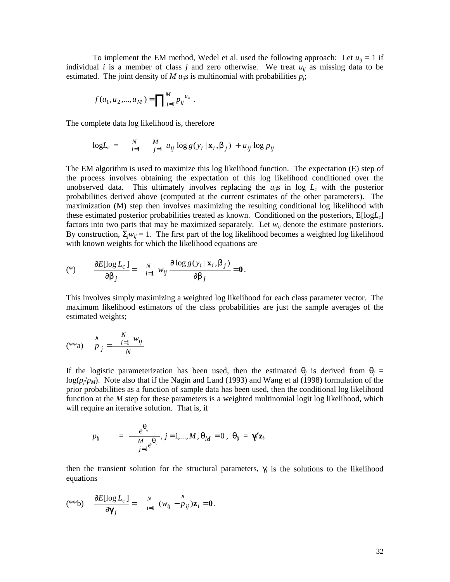To implement the EM method, Wedel et al. used the following approach: Let  $u_{ii} = 1$  if individual *i* is a member of class *j* and zero otherwise. We treat  $u_{ii}$  as missing data to be estimated. The joint density of *M*  $u_{ij}$ s is multinomial with probabilities  $p_i$ ;

$$
f(u_1, u_2, ..., u_M) = \prod\nolimits_{j=1}^M p_{ij}^{u_{ij}}.
$$

The complete data log likelihood is, therefore

$$
\log L_c = \sum_{i=1}^{N} \frac{M}{j=1} u_{ij} \log g(y_i \mid \mathbf{x}_i, \beta_j) + u_{ij} \log p_{ij}
$$

The EM algorithm is used to maximize this log likelihood function. The expectation (E) step of the process involves obtaining the expectation of this log likelihood conditioned over the unobserved data. This ultimately involves replacing the  $u_{ij}$ s in log  $L_c$  with the posterior probabilities derived above (computed at the current estimates of the other parameters). The maximization (M) step then involves maximizing the resulting conditional log likelihood with these estimated posterior probabilities treated as known. Conditioned on the posteriors,  $E[logL<sub>c</sub>]$ factors into two parts that may be maximized separately. Let  $w_{ij}$  denote the estimate posteriors. By construction,  $\Sigma_j w_{ij} = 1$ . The first part of the log likelihood becomes a weighted log likelihood with known weights for which the likelihood equations are

$$
(*) \qquad \frac{\partial E[\log L_c]}{\partial \beta_j} = \qquad \frac{N}{i=1} \quad w_{ij} \frac{\partial \log g(y_i \mid \mathbf{x}_i, \beta_j)}{\partial \beta_j} = \mathbf{0}.
$$

This involves simply maximizing a weighted log likelihood for each class parameter vector. The maximum likelihood estimators of the class probabilities are just the sample averages of the estimated weights;

$$
(**\mathbf{a}) \quad \stackrel{\wedge}{p}_j = \frac{\stackrel{N}{i=1} w_{ij}}{N}
$$

If the logistic parameterization has been used, then the estimated  $\theta_i$  is derived from  $\theta_i$  = log( $p/p_M$ ). Note also that if the Nagin and Land (1993) and Wang et al (1998) formulation of the prior probabilities as a function of sample data has been used, then the conditional log likelihood function at the *M* step for these parameters is a weighted multinomial logit log likelihood, which will require an iterative solution. That is, if

$$
p_{ij} = \frac{e^{\theta_{ij}}}{\frac{M}{j=1}e^{\theta_{ij}}}, j=1,...,M, \theta_M=0, \ \theta_{ij}=\gamma'_i\mathbf{z}_i.
$$

then the transient solution for the structural parameters,  $\gamma_i$  is the solutions to the likelihood equations

$$
(**b) \quad \frac{\partial E[\log L_c]}{\partial \mathbf{Y}_j} = \quad \mathop{\sim}\limits_{i=1}^N \; (w_{ij} - \mathop{\sim}\limits_{i=1}^{\wedge} y_i) \mathbf{z}_i = \mathbf{0} \, .
$$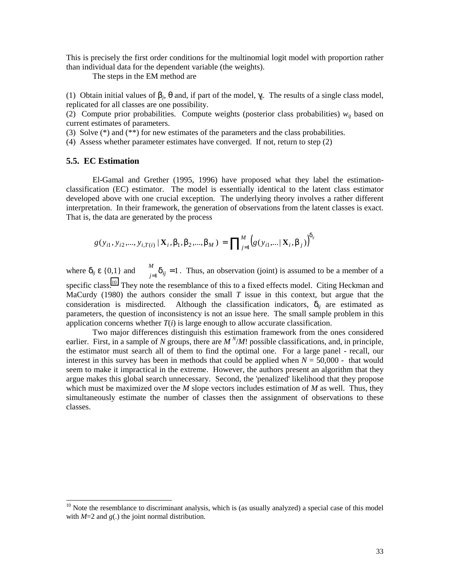This is precisely the first order conditions for the multinomial logit model with proportion rather than individual data for the dependent variable (the weights).

The steps in the EM method are

(1) Obtain initial values of  $\beta_j$ ,  $\theta$  and, if part of the model,  $\gamma_j$ . The results of a single class model, replicated for all classes are one possibility.

(2) Compute prior probabilities. Compute weights (posterior class probabilities)  $w_{ij}$  based on current estimates of parameters.

(3) Solve  $(*)$  and  $(**)$  for new estimates of the parameters and the class probabilities.

(4) Assess whether parameter estimates have converged. If not, return to step (2)

## **5.5. EC Estimation**

 $\overline{a}$ 

 El-Gamal and Grether (1995, 1996) have proposed what they label the estimationclassification (EC) estimator. The model is essentially identical to the latent class estimator developed above with one crucial exception. The underlying theory involves a rather different interpretation. In their framework, the generation of observations from the latent classes is exact. That is, the data are generated by the process

$$
g(y_{i1}, y_{i2},..., y_{i,T(i)} | \mathbf{X}_i, \beta_1, \beta_2, ..., \beta_M) = \prod_{j=1}^M \Big(g(y_{i1},... | \mathbf{X}_i, \beta_j)\Big)^{\delta_{ij}}
$$

where  $\delta_{ii} \varepsilon \{0,1\}$  and  $_{j=1}^{M}$  $\delta_{ij}$  = 1. Thus, an observation (joint) is assumed to be a member of a specific class.<sup>10</sup> They note the resemblance of this to a fixed effects model. Citing Heckman and MaCurdy (1980) the authors consider the small *T* issue in this context, but argue that the consideration is misdirected. Although the classification indicators,  $\delta_{ii}$  are estimated as parameters, the question of inconsistency is not an issue here. The small sample problem in this application concerns whether  $T(i)$  is large enough to allow accurate classification.

 Two major differences distinguish this estimation framework from the ones considered earlier. First, in a sample of *N* groups, there are  $M^N/M!$  possible classifications, and, in principle, the estimator must search all of them to find the optimal one. For a large panel - recall, our interest in this survey has been in methods that could be applied when  $N = 50,000$  - that would seem to make it impractical in the extreme. However, the authors present an algorithm that they argue makes this global search unnecessary. Second, the 'penalized' likelihood that they propose which must be maximized over the *M* slope vectors includes estimation of *M* as well. Thus, they simultaneously estimate the number of classes then the assignment of observations to these classes.

 $10$  Note the resemblance to discriminant analysis, which is (as usually analyzed) a special case of this model with  $M=2$  and  $g(.)$  the joint normal distribution.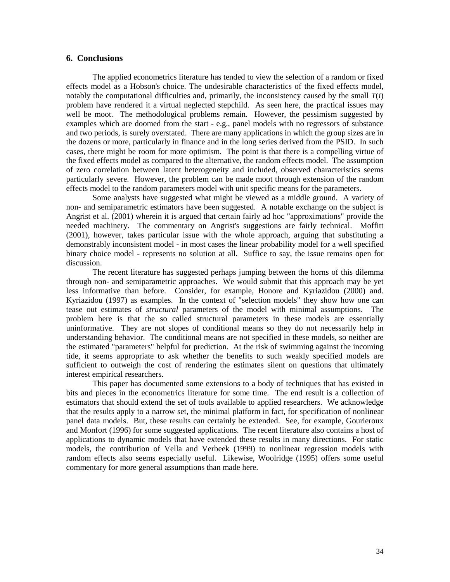# **6. Conclusions**

 The applied econometrics literature has tended to view the selection of a random or fixed effects model as a Hobson's choice. The undesirable characteristics of the fixed effects model, notably the computational difficulties and, primarily, the inconsistency caused by the small  $T(i)$ problem have rendered it a virtual neglected stepchild. As seen here, the practical issues may well be moot. The methodological problems remain. However, the pessimism suggested by examples which are doomed from the start - e.g., panel models with no regressors of substance and two periods, is surely overstated. There are many applications in which the group sizes are in the dozens or more, particularly in finance and in the long series derived from the PSID. In such cases, there might be room for more optimism. The point is that there is a compelling virtue of the fixed effects model as compared to the alternative, the random effects model. The assumption of zero correlation between latent heterogeneity and included, observed characteristics seems particularly severe. However, the problem can be made moot through extension of the random effects model to the random parameters model with unit specific means for the parameters.

Some analysts have suggested what might be viewed as a middle ground. A variety of non- and semiparametric estimators have been suggested. A notable exchange on the subject is Angrist et al. (2001) wherein it is argued that certain fairly ad hoc "approximations" provide the needed machinery. The commentary on Angrist's suggestions are fairly technical. Moffitt (2001), however, takes particular issue with the whole approach, arguing that substituting a demonstrably inconsistent model - in most cases the linear probability model for a well specified binary choice model - represents no solution at all. Suffice to say, the issue remains open for discussion.

 The recent literature has suggested perhaps jumping between the horns of this dilemma through non- and semiparametric approaches. We would submit that this approach may be yet less informative than before. Consider, for example, Honore and Kyriazidou (2000) and. Kyriazidou (1997) as examples. In the context of "selection models" they show how one can tease out estimates of *structural* parameters of the model with minimal assumptions. The problem here is that the so called structural parameters in these models are essentially uninformative. They are not slopes of conditional means so they do not necessarily help in understanding behavior. The conditional means are not specified in these models, so neither are the estimated "parameters" helpful for prediction. At the risk of swimming against the incoming tide, it seems appropriate to ask whether the benefits to such weakly specified models are sufficient to outweigh the cost of rendering the estimates silent on questions that ultimately interest empirical researchers.

 This paper has documented some extensions to a body of techniques that has existed in bits and pieces in the econometrics literature for some time. The end result is a collection of estimators that should extend the set of tools available to applied researchers. We acknowledge that the results apply to a narrow set, the minimal platform in fact, for specification of nonlinear panel data models. But, these results can certainly be extended. See, for example, Gourieroux and Monfort (1996) for some suggested applications. The recent literature also contains a host of applications to dynamic models that have extended these results in many directions. For static models, the contribution of Vella and Verbeek (1999) to nonlinear regression models with random effects also seems especially useful. Likewise, Woolridge (1995) offers some useful commentary for more general assumptions than made here.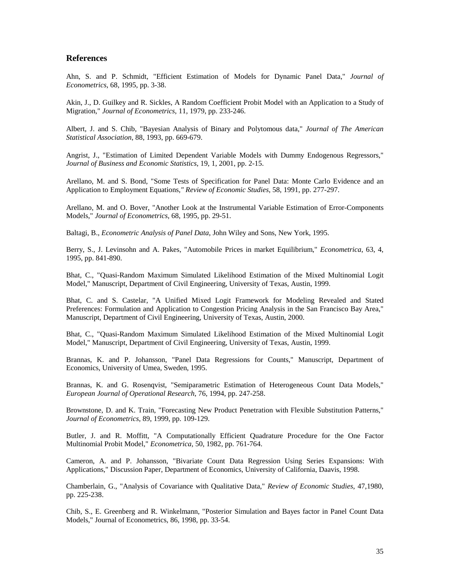# **References**

Ahn, S. and P. Schmidt, "Efficient Estimation of Models for Dynamic Panel Data," *Journal of Econometrics*, 68, 1995, pp. 3-38.

Akin, J., D. Guilkey and R. Sickles, A Random Coefficient Probit Model with an Application to a Study of Migration," *Journal of Econometrics*, 11, 1979, pp. 233-246.

Albert, J. and S. Chib, "Bayesian Analysis of Binary and Polytomous data," *Journal of The American Statistical Association*, 88, 1993, pp. 669-679.

Angrist, J., "Estimation of Limited Dependent Variable Models with Dummy Endogenous Regressors," *Journal of Business and Economic Statistics*, 19, 1, 2001, pp. 2-15.

Arellano, M. and S. Bond, "Some Tests of Specification for Panel Data: Monte Carlo Evidence and an Application to Employment Equations*," Review of Economic Studies*, 58, 1991, pp. 277-297.

Arellano, M. and O. Bover, "Another Look at the Instrumental Variable Estimation of Error-Components Models," *Journal of Econometrics*, 68, 1995, pp. 29-51.

Baltagi, B., *Econometric Analysis of Panel Data*, John Wiley and Sons, New York, 1995.

Berry, S., J. Levinsohn and A. Pakes, "Automobile Prices in market Equilibrium," *Econometrica*, 63, 4, 1995, pp. 841-890.

Bhat, C., "Quasi-Random Maximum Simulated Likelihood Estimation of the Mixed Multinomial Logit Model," Manuscript, Department of Civil Engineering, University of Texas, Austin, 1999.

Bhat, C. and S. Castelar, "A Unified Mixed Logit Framework for Modeling Revealed and Stated Preferences: Formulation and Application to Congestion Pricing Analysis in the San Francisco Bay Area," Manuscript, Department of Civil Engineering, University of Texas, Austin, 2000.

Bhat, C., "Quasi-Random Maximum Simulated Likelihood Estimation of the Mixed Multinomial Logit Model," Manuscript, Department of Civil Engineering, University of Texas, Austin, 1999.

Brannas, K. and P. Johansson, "Panel Data Regressions for Counts," Manuscript, Department of Economics, University of Umea, Sweden, 1995.

Brannas, K. and G. Rosenqvist, "Semiparametric Estimation of Heterogeneous Count Data Models," *European Journal of Operational Research*, 76, 1994, pp. 247-258.

Brownstone, D. and K. Train, "Forecasting New Product Penetration with Flexible Substitution Patterns," *Journal of Econometrics*, 89, 1999, pp. 109-129.

Butler, J. and R. Moffitt, "A Computationally Efficient Quadrature Procedure for the One Factor Multinomial Probit Model," *Econometrica*, 50, 1982, pp. 761-764.

Cameron, A. and P. Johansson, "Bivariate Count Data Regression Using Series Expansions: With Applications," Discussion Paper, Department of Economics, University of California, Daavis, 1998.

Chamberlain, G., "Analysis of Covariance with Qualitative Data," *Review of Economic Studies*, 47,1980, pp. 225-238.

Chib, S., E. Greenberg and R. Winkelmann, "Posterior Simulation and Bayes factor in Panel Count Data Models," Journal of Econometrics, 86, 1998, pp. 33-54.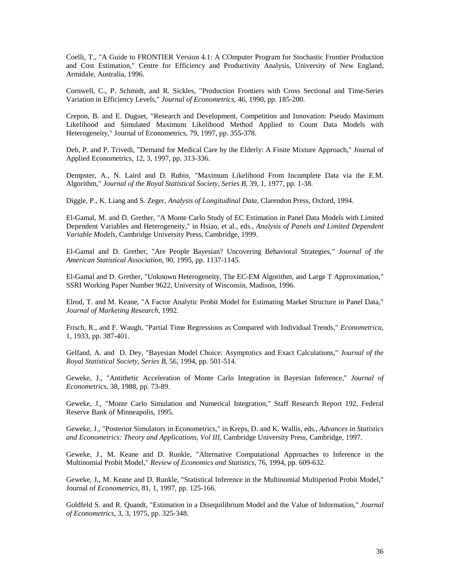Coelli, T., "A Guide to FRONTIER Version 4.1: A COmputer Program for Stochastic Frontier Production and Cost Estimation," Centre for Efficiency and Productivity Analysis, University of New England, Armidale, Australia, 1996.

Cornwell, C., P. Schmidt, and R. Sickles, "Production Frontiers with Cross Sectional and Time-Series Variation in Efficiency Levels," *Journal of Econometrics*, 46, 1990, pp. 185-200.

Crepon, B. and E. Duguet, "Research and Development, Competition and Innovation: Pseudo Maximum Likelihood and Simulated Maximum Likelihood Method Applied to Count Data Models with Heterogeneity," Journal of Econometrics, 79, 1997, pp. 355-378.

Deb, P. and P. Trivedi, "Demand for Medical Care by the Elderly: A Finite Mixture Approach," Journal of Applied Econometrics, 12, 3, 1997, pp. 313-336.

Dempster, A., N. Laird and D. Rubin, "Maximum Likelihood From Incomplete Data via the E.M. Algorithm," *Journal of the Royal Statistical Society, Series B*, 39, 1, 1977, pp. 1-38.

Diggle, P., K. Liang and S. Zeger, *Analysis of Longitudinal Data*, Clarendon Press, Oxford, 1994.

El-Gamal, M. and D. Grether, "A Monte Carlo Study of EC Estimation in Panel Data Models with Limited Dependent Variables and Heterogeneity," in Hsiao, et al., eds., *Analysis of Panels and Limited Dependent Variable Models*, Cambridge University Press, Cambridge, 1999.

El-Gamal and D. Grether, "Are People Bayesian? Uncovering Behavioral Strategies*," Journal of the American Statistical Association*, 90, 1995, pp. 1137-1145.

El-Gamal and D. Grether, "Unknown Heterogeneity, The EC-EM Algorithm, and Large T Approximation," SSRI Working Paper Number 9622, University of Wisconsin, Madison, 1996.

Elrod, T. and M. Keane, "A Factor Analytic Probit Model for Estimating Market Structure in Panel Data," *Journal of Marketing Research*, 1992.

Frisch, R., and F. Waugh, "Partial Time Regressions as Compared with Individual Trends," *Econometrica*, 1, 1933, pp. 387-401.

Gelfand, A. and D. Dey, "Bayesian Model Choice: Asymptotics and Exact Calculations," *Journal of the Royal Statistical Society, Series B*, 56, 1994, pp. 501-514.

Geweke, J., "Antithetic Acceleration of Monte Carlo Integration in Bayesian Inference," *Journal of Econometrics*, 38, 1988, pp. 73-89.

Geweke, J., "Monte Carlo Simulation and Numerical Integration," Staff Research Report 192, Federal Reserve Bank of Minneapolis, 1995.

Geweke, J., "Posterior Simulators in Econometrics," in Kreps, D. and K. Wallis, eds*., Advances in Statistics and Econometrics: Theory and Applications, Vol III*, Cambridge University Press, Cambridge, 1997.

Geweke, J., M. Keane and D. Runkle, "Alternative Computational Approaches to Inference in the Multinomial Probit Model," *Review of Economics and Statistics*, 76, 1994, pp. 609-632.

Geweke, J., M. Keane and D. Runkle, "Statistical Inference in the Multinomial Multiperiod Probit Model," Journal of *Econometrics*, 81, 1, 1997, pp. 125-166.

Goldfeld S. and R. Quandt, "Estimation in a Disequilibrium Model and the Value of Information," *Journal of Econometrics*, 3, 3, 1975, pp. 325-348.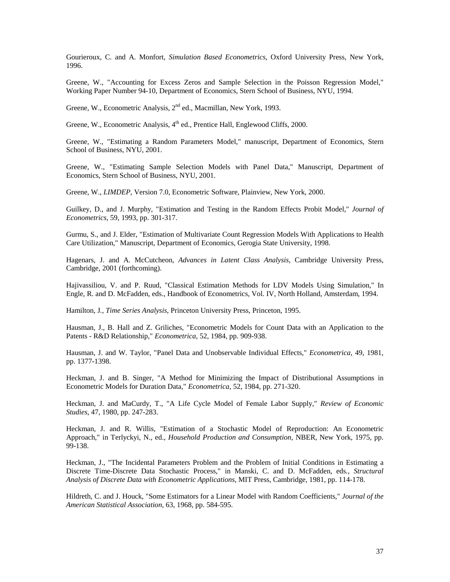Gourieroux, C. and A. Monfort, *Simulation Based Econometrics*, Oxford University Press, New York, 1996.

Greene, W., "Accounting for Excess Zeros and Sample Selection in the Poisson Regression Model," Working Paper Number 94-10, Department of Economics, Stern School of Business, NYU, 1994.

Greene, W., Econometric Analysis, 2<sup>nd</sup> ed., Macmillan, New York, 1993.

Greene, W., Econometric Analysis, 4<sup>th</sup> ed., Prentice Hall, Englewood Cliffs, 2000.

Greene, W., "Estimating a Random Parameters Model," manuscript, Department of Economics, Stern School of Business, NYU, 2001.

Greene, W., "Estimating Sample Selection Models with Panel Data," Manuscript, Department of Economics, Stern School of Business, NYU, 2001.

Greene, W., *LIMDEP*, Version 7.0, Econometric Software, Plainview, New York, 2000.

Guilkey, D., and J. Murphy, "Estimation and Testing in the Random Effects Probit Model," *Journal of Econometrics,* 59, 1993, pp. 301-317.

Gurmu, S., and J. Elder, "Estimation of Multivariate Count Regression Models With Applications to Health Care Utilization," Manuscript, Department of Economics, Gerogia State University, 1998.

Hagenars, J. and A. McCutcheon, *Advances in Latent Class Analysis*, Cambridge University Press, Cambridge, 2001 (forthcoming).

Hajivassiliou, V. and P. Ruud, "Classical Estimation Methods for LDV Models Using Simulation," In Engle, R. and D. McFadden, eds., Handbook of Econometrics, Vol. IV, North Holland, Amsterdam, 1994.

Hamilton, J*., Time Series Analysis*, Princeton University Press, Princeton, 1995.

Hausman, J., B. Hall and Z. Griliches, "Econometric Models for Count Data with an Application to the Patents - R&D Relationship," *Econometrica*, 52, 1984, pp. 909-938.

Hausman, J. and W. Taylor, "Panel Data and Unobservable Individual Effects," *Econometrica*, 49, 1981, pp. 1377-1398.

Heckman, J. and B. Singer, "A Method for Minimizing the Impact of Distributional Assumptions in Econometric Models for Duration Data," *Econometrica*, 52, 1984, pp. 271-320.

Heckman, J. and MaCurdy, T., "A Life Cycle Model of Female Labor Supply," *Review of Economic Studies*, 47, 1980, pp. 247-283.

Heckman, J. and R. Willis, "Estimation of a Stochastic Model of Reproduction: An Econometric Approach," in Terlyckyi, N., ed., *Household Production and Consumption*, NBER, New York, 1975, pp. 99-138.

Heckman, J., "The Incidental Parameters Problem and the Problem of Initial Conditions in Estimating a Discrete Time-Discrete Data Stochastic Process," in Manski, C. and D. McFadden, eds*., Structural Analysis of Discrete Data with Econometric Applications*, MIT Press, Cambridge, 1981, pp. 114-178.

Hildreth, C. and J. Houck, "Some Estimators for a Linear Model with Random Coefficients," *Journal of the American Statistical Association*, 63, 1968, pp. 584-595.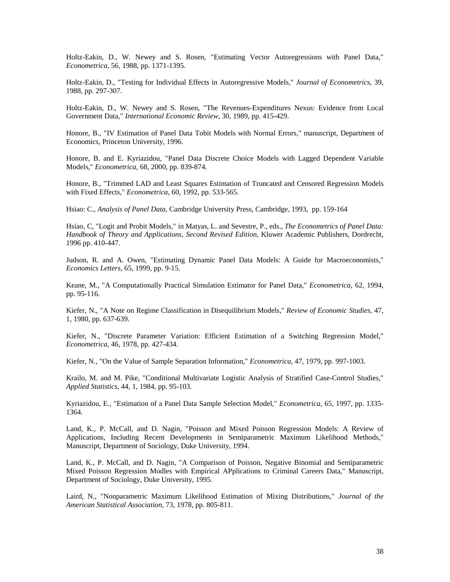Holtz-Eakin, D., W. Newey and S. Rosen, "Estimating Vector Autoregressions with Panel Data," *Econometrica*, 56, 1988, pp. 1371-1395.

Holtz-Eakin, D., "Testing for Individual Effects in Autoregressive Models," *Journal of Econometrics*, 39, 1988, pp. 297-307.

Holtz-Eakin, D., W. Newey and S. Rosen, "The Revenues-Expenditures Nexus: Evidence from Local Government Data," *International Economic Review*, 30, 1989, pp. 415-429.

Honore, B., "IV Estimation of Panel Data Tobit Models with Normal Errors," manuscript, Department of Economics, Princeton University, 1996.

Honore, B. and E. Kyriazidou, "Panel Data Discrete Choice Models with Lagged Dependent Variable Models," *Econometrica*, 68, 2000, pp. 839-874.

Honore, B., "Trimmed LAD and Least Squares Estimation of Truncated and Censored Regression Models with Fixed Effects," *Econometrica*, 60, 1992, pp. 533-565.

Hsiao: C., *Analysis of Panel Data*, Cambridge University Press, Cambridge, 1993, pp. 159-164

Hsiao, C, "Logit and Probit Models," in Matyas, L. and Sevestre, P., eds., *The Econometrics of Panel Data: Handbook of Theory and Applications, Second Revised Edition*, Kluwer Academic Publishers, Dordrecht, 1996 pp. 410-447.

Judson, R. and A. Owen, "Estimating Dynamic Panel Data Models: A Guide for Macroeconomists," *Economics Letters*, 65, 1999, pp. 9-15.

Keane, M., "A Computationally Practical Simulation Estimator for Panel Data," *Econometrica*, 62, 1994, pp. 95-116.

Kiefer, N., "A Note on Regime Classification in Disequilibrium Models," *Review of Economic Studies*, 47, 1, 1980, pp. 637-639.

Kiefer, N., "Discrete Parameter Variation: Efficient Estimation of a Switching Regression Model," *Econometrica*, 46, 1978, pp. 427-434.

Kiefer, N., "On the Value of Sample Separation Information," *Econometrica*, 47, 1979, pp. 997-1003.

Krailo, M. and M. Pike, "Conditional Multivariate Logistic Analysis of Stratified Case-Control Studies," *Applied Statistics*, 44, 1, 1984, pp. 95-103.

Kyriazidou, E., "Estimation of a Panel Data Sample Selection Model," *Econometrica*, 65, 1997, pp. 1335- 1364.

Land, K., P. McCall, and D. Nagin, "Poisson and Mixed Poisson Regression Models: A Review of Applications, Including Recent Developments in Semiparametric Maximum Likelihood Methods," Manuscript, Department of Sociology, Duke University, 1994.

Land, K., P. McCall, and D. Nagin, "A Comparison of Poisson, Negative Binomial and Semiparametric Mixed Poisson Regression Modles with Empirical APplications to Criminal Careers Data," Manuscript, Department of Sociology, Duke University, 1995.

Laird, N., "Nonparametric Maximum Likelihood Estimation of Mixing Distributions," *Journal of the American Statistical Association*, 73, 1978, pp. 805-811.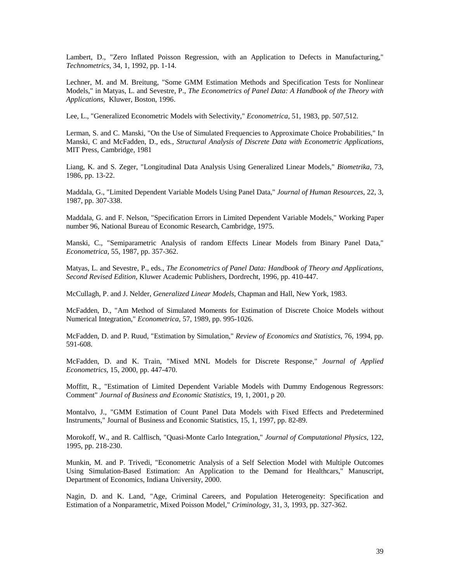Lambert, D., "Zero Inflated Poisson Regression, with an Application to Defects in Manufacturing," *Technometrics*, 34, 1, 1992, pp. 1-14.

Lechner, M. and M. Breitung, "Some GMM Estimation Methods and Specification Tests for Nonlinear Models," in Matyas, L. and Sevestre, P., *The Econometrics of Panel Data: A Handbook of the Theory with Applications*, Kluwer, Boston, 1996.

Lee, L., "Generalized Econometric Models with Selectivity," *Econometrica*, 51, 1983, pp. 507,512.

Lerman, S. and C. Manski, "On the Use of Simulated Frequencies to Approximate Choice Probabilities," In Manski, C and McFadden, D., eds*., Structural Analysis of Discrete Data with Econometric Applications*, MIT Press, Cambridge, 1981

Liang, K. and S. Zeger, "Longitudinal Data Analysis Using Generalized Linear Models," *Biometrika*, 73, 1986, pp. 13-22.

Maddala, G., "Limited Dependent Variable Models Using Panel Data," *Journal of Human Resources*, 22, 3, 1987, pp. 307-338.

Maddala, G. and F. Nelson, "Specification Errors in Limited Dependent Variable Models," Working Paper number 96, National Bureau of Economic Research, Cambridge, 1975.

Manski, C., "Semiparametric Analysis of random Effects Linear Models from Binary Panel Data," *Econometrica*, 55, 1987, pp. 357-362.

Matyas, L. and Sevestre, P., eds., *The Econometrics of Panel Data: Handbook of Theory and Applications, Second Revised Edition*, Kluwer Academic Publishers, Dordrecht, 1996, pp. 410-447.

McCullagh, P. and J. Nelder, *Generalized Linear Models*, Chapman and Hall, New York, 1983.

McFadden, D., "Am Method of Simulated Moments for Estimation of Discrete Choice Models without Numerical Integration," *Econometrica*, 57, 1989, pp. 995-1026.

McFadden, D. and P. Ruud, "Estimation by Simulation," *Review of Economics and Statistics*, 76, 1994, pp. 591-608.

McFadden, D. and K. Train, "Mixed MNL Models for Discrete Response," *Journal of Applied Econometrics*, 15, 2000, pp. 447-470.

Moffitt, R., "Estimation of Limited Dependent Variable Models with Dummy Endogenous Regressors: Comment" *Journal of Business and Economic Statistics*, 19, 1, 2001, p 20.

Montalvo, J., "GMM Estimation of Count Panel Data Models with Fixed Effects and Predetermined Instruments," Journal of Business and Economic Statistics, 15, 1, 1997, pp. 82-89.

Morokoff, W., and R. Calflisch, "Quasi-Monte Carlo Integration," *Journal of Computational Physics*, 122, 1995, pp. 218-230.

Munkin, M. and P. Trivedi, "Econometric Analysis of a Self Selection Model with Multiple Outcomes Using Simulation-Based Estimation: An Application to the Demand for Healthcars," Manuscript, Department of Economics, Indiana University, 2000.

Nagin, D. and K. Land, "Age, Criminal Careers, and Population Heterogeneity: Specification and Estimation of a Nonparametric, Mixed Poisson Model," *Criminology*, 31, 3, 1993, pp. 327-362.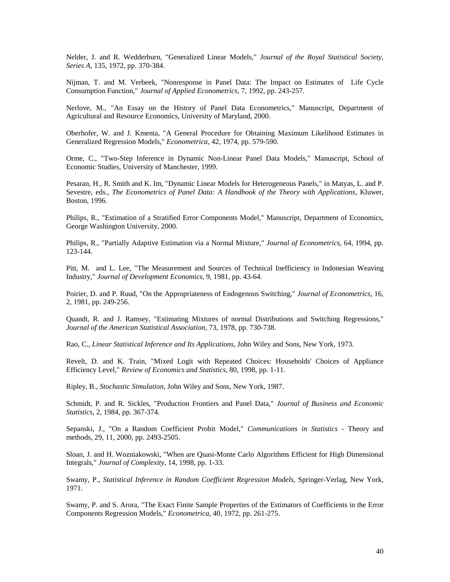Nelder, J. and R. Wedderburn, "Generalized Linear Models," *Journal of the Royal Statistical Society, Series A*, 135, 1972, pp. 370-384.

Nijman, T. and M. Verbeek, "Nonresponse in Panel Data: The Impact on Estimates of Life Cycle Consumption Function," *Journal of Applied Econometrics*, 7, 1992, pp. 243-257.

Nerlove, M., "An Essay on the History of Panel Data Econometrics," Manuscript, Department of Agricultural and Resource Economics, University of Maryland, 2000.

Oberhofer, W. and J. Kmenta, "A General Procedure for Obtaining Maximum Likelihood Estimates in Generalized Regression Models," *Econometrica*, 42, 1974, pp. 579-590.

Orme, C., "Two-Step Inference in Dynamic Non-Linear Panel Data Models," Manuscript, School of Economic Studies, University of Manchester, 1999.

Pesaran, H., R. Smith and K. Im, "Dynamic Linear Models for Heterogeneous Panels," in Matyas, L. and P. Sevestre, eds., *The Econometrics of Panel Data: A Handbook of the Theory with Applications*, Kluwer, Boston, 1996.

Philips, R., "Estimation of a Stratified Error Components Model," Manuscript, Department of Economics, George Washington University, 2000.

Philips, R., "Partially Adaptive Estimation via a Normal Mixture," *Journal of Econometrics*, 64, 1994, pp. 123-144.

Pitt, M. and L. Lee, "The Measurement and Sources of Technical Inefficiency in Indonesian Weaving Industry," *Journal of Development Economics*, 9, 1981, pp. 43-64.

Poirier, D. and P. Ruud, "On the Appropriateness of Endogenous Switching," *Journal of Econometrics*, 16, 2, 1981, pp. 249-256.

Quandt, R. and J. Ramsey, "Estimating Mixtures of normal Distributions and Switching Regressions," *Journal of the American Statistical Association*, 73, 1978, pp. 730-738.

Rao, C., *Linear Statistical Inference and Its Applications*, John Wiley and Sons, New York, 1973.

Revelt, D. and K. Train, "Mixed Logit with Repeated Choices: Households' Choices of Appliance Efficiency Level," *Review of Economics and Statistics*, 80, 1998, pp. 1-11.

Ripley, B., *Stochastic Simulation*, John Wiley and Sons, New York, 1987.

Schmidt, P. and R. Sickles, "Production Frontiers and Panel Data," *Journal of Business and Economic Statistics*, 2, 1984, pp. 367-374.

Sepanski, J., "On a Random Coefficient Probit Model," *Communications in Statistics* - Theory and methods, 29, 11, 2000, pp. 2493-2505.

Sloan, J. and H. Wozniakowski, "When are Quasi-Monte Carlo Algorithms Efficient for High Dimensional Integrals," *Journal of Complexity*, 14, 1998, pp. 1-33.

Swamy, P., *Statistical Inference in Random Coefficient Regression Models*, Springer-Verlag, New York, 1971.

Swamy, P. and S. Arora, "The Exact Finite Sample Properties of the Estimators of Coefficients in the Error Components Regression Models," *Econometrica*, 40, 1972, pp. 261-275.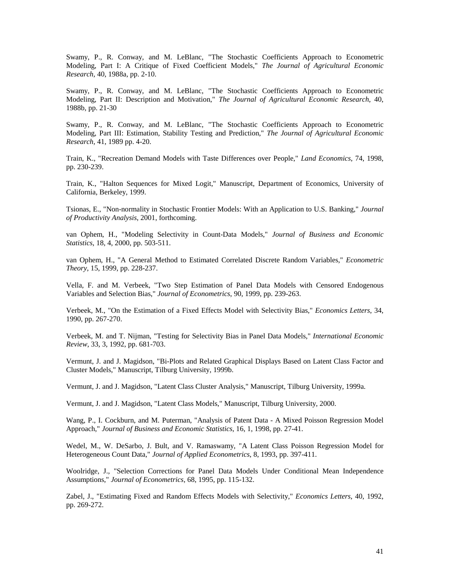Swamy, P., R. Conway, and M. LeBlanc, "The Stochastic Coefficients Approach to Econometric Modeling, Part I: A Critique of Fixed Coefficient Models," *The Journal of Agricultural Economic Research*, 40, 1988a, pp. 2-10.

Swamy, P., R. Conway, and M. LeBlanc, "The Stochastic Coefficients Approach to Econometric Modeling, Part II: Description and Motivation," *The Journal of Agricultural Economic Research*, 40, 1988b, pp. 21-30

Swamy, P., R. Conway, and M. LeBlanc, "The Stochastic Coefficients Approach to Econometric Modeling, Part III: Estimation, Stability Testing and Prediction," *The Journal of Agricultural Economic Research*, 41, 1989 pp. 4-20.

Train, K., "Recreation Demand Models with Taste Differences over People," *Land Economics*, 74, 1998, pp. 230-239.

Train, K., "Halton Sequences for Mixed Logit," Manuscript, Department of Economics, University of California, Berkeley, 1999.

Tsionas, E., "Non-normality in Stochastic Frontier Models: With an Application to U.S. Banking," *Journal of Productivity Analysis*, 2001, forthcoming.

van Ophem, H., "Modeling Selectivity in Count-Data Models," *Journal of Business and Economic Statistics*, 18, 4, 2000, pp. 503-511.

van Ophem, H., "A General Method to Estimated Correlated Discrete Random Variables," *Econometric Theory*, 15, 1999, pp. 228-237.

Vella, F. and M. Verbeek, "Two Step Estimation of Panel Data Models with Censored Endogenous Variables and Selection Bias," *Journal of Econometrics*, 90, 1999, pp. 239-263.

Verbeek, M., "On the Estimation of a Fixed Effects Model with Selectivity Bias," *Economics Letters*, 34, 1990, pp. 267-270.

Verbeek, M. and T. Nijman, "Testing for Selectivity Bias in Panel Data Models," *International Economic Review*, 33, 3, 1992, pp. 681-703.

Vermunt, J. and J. Magidson, "Bi-Plots and Related Graphical Displays Based on Latent Class Factor and Cluster Models," Manuscript, Tilburg University, 1999b.

Vermunt, J. and J. Magidson, "Latent Class Cluster Analysis," Manuscript, Tilburg University, 1999a.

Vermunt, J. and J. Magidson, "Latent Class Models," Manuscript, Tilburg University, 2000.

Wang, P., I. Cockburn, and M. Puterman, "Analysis of Patent Data - A Mixed Poisson Regression Model Approach," *Journal of Business and Economic Statistics*, 16, 1, 1998, pp. 27-41.

Wedel, M., W. DeSarbo, J. Bult, and V. Ramaswamy, "A Latent Class Poisson Regression Model for Heterogeneous Count Data," *Journal of Applied Econometrics*, 8, 1993, pp. 397-411.

Woolridge, J., "Selection Corrections for Panel Data Models Under Conditional Mean Independence Assumptions," *Journal of Econometrics*, 68, 1995, pp. 115-132.

Zabel, J., "Estimating Fixed and Random Effects Models with Selectivity," *Economics Letters*, 40, 1992, pp. 269-272.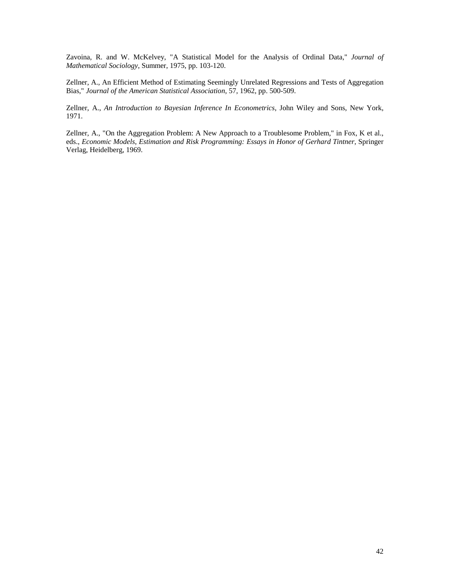Zavoina, R. and W. McKelvey, "A Statistical Model for the Analysis of Ordinal Data," *Journal of Mathematical Sociology*, Summer, 1975, pp. 103-120.

Zellner, A., An Efficient Method of Estimating Seemingly Unrelated Regressions and Tests of Aggregation Bias," *Journal of the American Statistical Association*, 57, 1962, pp. 500-509.

Zellner, A., *An Introduction to Bayesian Inference In Econometrics*, John Wiley and Sons, New York, 1971.

Zellner, A., "On the Aggregation Problem: A New Approach to a Troublesome Problem," in Fox, K et al., eds., *Economic Models, Estimation and Risk Programming: Essays in Honor of Gerhard Tintner*, Springer Verlag, Heidelberg, 1969.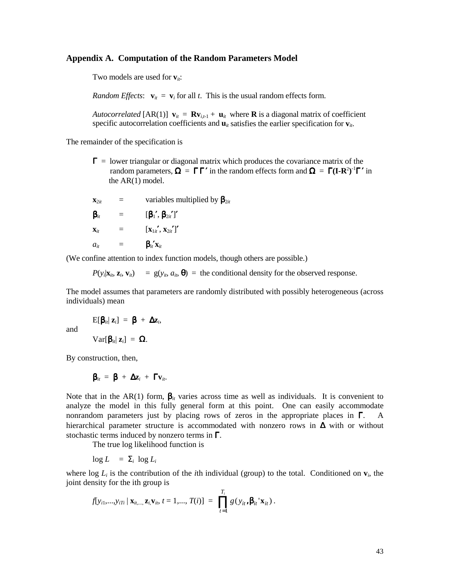# **Appendix A. Computation of the Random Parameters Model**

Two models are used for  $v_{ii}$ :

*Random Effects*:  $\mathbf{v}_{it} = \mathbf{v}_i$  for all *t*. This is the usual random effects form.

*Autocorrelated* [AR(1)]  $\mathbf{v}_{it} = \mathbf{R} \mathbf{v}_{i,t-1} + \mathbf{u}_{it}$  where **R** is a diagonal matrix of coefficient specific autocorrelation coefficients and  $\mathbf{u}_{it}$  satisfies the earlier specification for  $\mathbf{v}_{it}$ .

The remainder of the specification is

 $\Gamma$  = lower triangular or diagonal matrix which produces the covariance matrix of the random parameters,  $\Omega = \Gamma \Gamma'$  in the random effects form and  $\Omega = \Gamma (I - R^2)^{-1} \Gamma'$  in the AR(1) model.

 $\mathbf{x}_{2it}$  = variables multiplied by  $\mathbf{\beta}_{2it}$  $\beta_{it}$  =  $[\beta_1', \beta_{2it}']'$  $\mathbf{x}_{it} = [\mathbf{x}_{1it}', \mathbf{x}_{2it}']'$  $a_{it}$  =  $\mathbf{B}_{it}'\mathbf{x}_{it}$ 

(We confine attention to index function models, though others are possible.)

 $P(y_i|\mathbf{x}_i, \mathbf{z}_i, \mathbf{v}_i)$  =  $g(y_i, a_i, \boldsymbol{\theta})$  = the conditional density for the observed response.

The model assumes that parameters are randomly distributed with possibly heterogeneous (across individuals) mean

and 
$$
E[\beta_{ii} | z_i] = \beta + \Delta z_i,
$$

$$
Var[\beta_{ii} | z_i] = \Omega.
$$

By construction, then,

and

$$
\beta_{it} = \beta + \Delta z_i + \Gamma v_{it}.
$$

Note that in the AR(1) form,  $\beta_{it}$  varies across time as well as individuals. It is convenient to analyze the model in this fully general form at this point. One can easily accommodate nonrandom parameters just by placing rows of zeros in the appropriate places in  $\Gamma$ . A hierarchical parameter structure is accommodated with nonzero rows in ∆ with or without stochastic terms induced by nonzero terms in  $\Gamma$ .

The true log likelihood function is

 $\log L = \sum_i \log L_i$ 

where log  $L_i$  is the contribution of the *i*th individual (group) to the total. Conditioned on  $\mathbf{v}_i$ , the joint density for the ith group is

$$
f[y_{i1},...,y_{iTi} | \mathbf{x}_{it,...}, \mathbf{z}_{i}, \mathbf{v}_{it}, t = 1,..., T(i)] = \prod_{t=1}^{T_i} g(y_{it}, \boldsymbol{\beta}_{it} | \mathbf{x}_{it}).
$$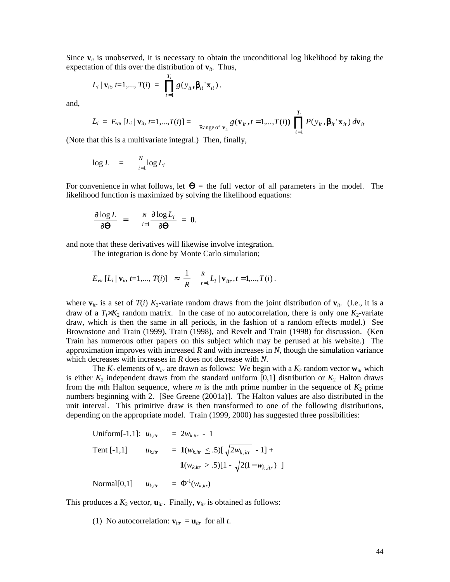Since  $\mathbf{v}_{it}$  is unobserved, it is necessary to obtain the unconditional log likelihood by taking the expectation of this over the distribution of  $v_{it}$ . Thus,

$$
L_i | \mathbf{v}_{it}, t=1,..., T(i) = \prod_{t=1}^{T_i} g(y_{it}, \beta_{it} | \mathbf{x}_{it}).
$$

and,

$$
L_i = E_{\mathbf{v}_{it}}[L_i | \mathbf{v}_{it}, t=1,...,T(i)] = \mathop{\text{Range of }\mathbf{v}_{it}} \mathop{g(\mathbf{v}_{it}, t=1,...,T(i))} \prod_{t=1}^{T_i} P(y_{it}, \beta_{it} | \mathbf{x}_{it}) d\mathbf{v}_{it}
$$

(Note that this is a multivariate integral.) Then, finally,

$$
\log L = \sum_{i=1}^{N} \log L_i
$$

For convenience in what follows, let  $\Theta$  = the full vector of all parameters in the model. The likelihood function is maximized by solving the likelihood equations:

$$
\frac{\partial \log L}{\partial \mathbf{\Theta}} = \frac{N}{i-1} \frac{\partial \log L_i}{\partial \mathbf{\Theta}} = \mathbf{0}.
$$

and note that these derivatives will likewise involve integration.

The integration is done by Monte Carlo simulation;

$$
E_{\mathbf{v}_{it}}[L_i | \mathbf{v}_{it}, t=1,..., T(i)] \approx \frac{1}{R} \sum_{r=1}^{R} L_i | \mathbf{v}_{itr}, t=1,..., T(i).
$$

where  $\mathbf{v}_{ir}$  is a set of  $T(i)$   $K_2$ -variate random draws from the joint distribution of  $\mathbf{v}_{ir}$ . (I.e., it is a draw of a  $T_i \times K_2$  random matrix. In the case of no autocorrelation, there is only one  $K_2$ -variate draw, which is then the same in all periods, in the fashion of a random effects model.) See Brownstone and Train (1999), Train (1998), and Revelt and Train (1998) for discussion. (Ken Train has numerous other papers on this subject which may be perused at his website.) The approximation improves with increased *R* and with increases in *N*, though the simulation variance which decreases with increases in *R* does not decrease with *N*.

The  $K_2$  elements of  $\mathbf{v}_{irr}$  are drawn as follows: We begin with a  $K_2$  random vector  $\mathbf{w}_{irr}$  which is either  $K_2$  independent draws from the standard uniform [0,1] distribution or  $K_2$  Halton draws from the *m*th Halton sequence, where *m* is the mth prime number in the sequence of  $K_2$  prime numbers beginning with 2. [See Greene (2001a)]. The Halton values are also distributed in the unit interval. This primitive draw is then transformed to one of the following distributions, depending on the appropriate model. Train (1999, 2000) has suggested three possibilities:

Uniform[-1,1]:

\n
$$
u_{k,ir} = 2w_{k,itr} - 1
$$
\nTent [-1,1] \n
$$
u_{k,ir} = \mathbf{1}(w_{k,itr} \leq .5) [\sqrt{2w_{k,itr}} - 1] + \mathbf{1}(w_{k,itr} > .5) [1 - \sqrt{2(1 - w_{k,itr})}]
$$
\nNormal[0,1] \n
$$
u_{k,ir} = \Phi^{-1}(w_{k,itr})
$$
\n

This produces a  $K_2$  vector,  $\mathbf{u}_{irr}$ . Finally,  $\mathbf{v}_{irr}$  is obtained as follows:

(1) No autocorrelation:  $\mathbf{v}_{irr} = \mathbf{u}_{itr}$  for all *t*.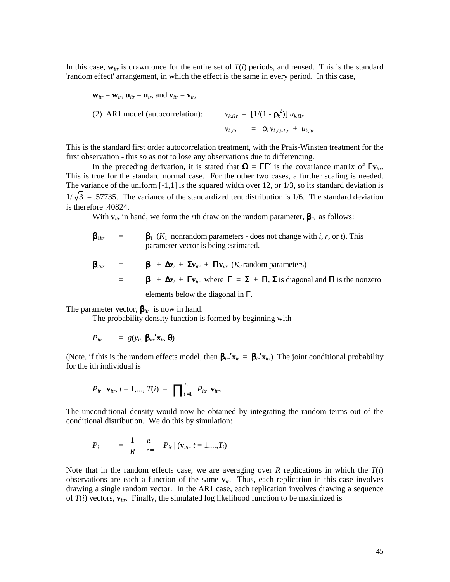In this case,  $w_{irr}$  is drawn once for the entire set of  $T(i)$  periods, and reused. This is the standard 'random effect' arrangement, in which the effect is the same in every period. In this case,

$$
\mathbf{w}_{itr} = \mathbf{w}_{ir}, \mathbf{u}_{itr} = \mathbf{u}_{ir}, \text{ and } \mathbf{v}_{itr} = \mathbf{v}_{ir},
$$
\n(2) ARI model (autocorrelation):  
\n
$$
v_{k,itr} = [1/(1 - \rho_k^2)] u_{k,itr}
$$
\n
$$
v_{k,itr} = \rho_k v_{k, i, t, i, r} + u_{k, irr}
$$

This is the standard first order autocorrelation treatment, with the Prais-Winsten treatment for the first observation - this so as not to lose any observations due to differencing.

In the preceding derivation, it is stated that  $\Omega = \Gamma \Gamma'$  is the covariance matrix of  $\Gamma v_{irr}$ . This is true for the standard normal case. For the other two cases, a further scaling is needed. The variance of the uniform [-1,1] is the squared width over 12, or 1/3, so its standard deviation is  $1/\sqrt{3}$  = .57735. The variance of the standardized tent distribution is 1/6. The standard deviation is therefore .40824.

With  $\mathbf{v}_{ir}$  in hand, we form the *r*th draw on the random parameter,  $\beta_{irr}$  as follows:

$$
\beta_{1itr}
$$
 =  $\beta_1$  ( $K_1$  nonrandom parameters - does not change with *i*, *r*, or *t*). This parameter vector is being estimated.

$$
\beta_{2ir} = \beta_2 + \Delta z_i + \Sigma v_{ir} + \Pi v_{itr} (K_2 \text{ random parameters})
$$
  
=  $\beta_2 + \Delta z_i + \Gamma v_{ir}$  where  $\Gamma = \Sigma + \Pi, \Sigma$  is diagonal and  $\Pi$  is the nonzero elements below the diagonal in  $\Gamma$ .

The parameter vector,  $\beta_{irr}$  is now in hand.

The probability density function is formed by beginning with

$$
P_{itr} = g(y_{it}, \beta_{itr}' \mathbf{x}_{it}, \boldsymbol{\theta})
$$

(Note, if this is the random effects model, then  $\beta_{ir'}x_{it} = \beta_{ir'}x_{it}$ ) The joint conditional probability for the ith individual is

$$
P_{ir} | \mathbf{v}_{itr}, t = 1,..., T(i) = \prod_{t=1}^{T_i} P_{itr} | \mathbf{v}_{itr}.
$$

The unconditional density would now be obtained by integrating the random terms out of the conditional distribution. We do this by simulation:

$$
P_i = \frac{1}{R} \sum_{r=1}^{R} P_{ir} | (\mathbf{v}_{ir}, t = 1, ..., T_i)
$$

Note that in the random effects case, we are averaging over  $R$  replications in which the  $T(i)$ observations are each a function of the same **v***ir*. Thus, each replication in this case involves drawing a single random vector. In the AR1 case, each replication involves drawing a sequence of  $T(i)$  vectors,  $\mathbf{v}_{irr}$ . Finally, the simulated log likelihood function to be maximized is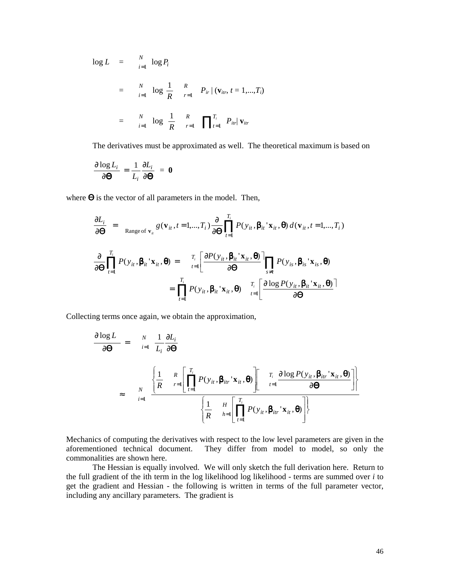$$
\log L = \sum_{i=1}^{N} \log P_{i}
$$
  
=  $\sum_{i=1}^{N} \log \frac{1}{R} \sum_{r=1}^{R} P_{ir} | (\mathbf{v}_{irr}, t = 1,...,T_{i})$   
=  $\sum_{i=1}^{N} \log \frac{1}{R} \sum_{r=1}^{R} \prod_{t=1}^{T_{i}} P_{itr} |\mathbf{v}_{itr}$ 

The derivatives must be approximated as well. The theoretical maximum is based on

$$
\frac{\partial \log L_i}{\partial \boldsymbol{\Theta}} = \frac{1}{L_i} \frac{\partial L_i}{\partial \boldsymbol{\Theta}} = \boldsymbol{0}
$$

where  $\Theta$  is the vector of all parameters in the model. Then,

$$
\frac{\partial L_i}{\partial \boldsymbol{\Theta}} = \operatorname{Range}_{\boldsymbol{\theta}}(\mathbf{v}_{it}, t = 1, ..., T_i) \frac{\partial}{\partial \boldsymbol{\Theta}} \prod_{t=1}^{T_i} P(y_{it}, \boldsymbol{\beta}_{it} | \mathbf{x}_{it}, \boldsymbol{\theta}) d(\mathbf{v}_{it}, t = 1, ..., T_i)
$$
\n
$$
\frac{\partial}{\partial \boldsymbol{\Theta}} \prod_{t=1}^{T_i} P(y_{it}, \boldsymbol{\beta}_{it} | \mathbf{x}_{it}, \boldsymbol{\theta}) = \prod_{t=1}^{T_i} \left[ \frac{\partial P(y_{it}, \boldsymbol{\beta}_{it} | \mathbf{x}_{it}, \boldsymbol{\theta})}{\partial \boldsymbol{\Theta}} \right] \prod_{s \neq t} P(y_{is}, \boldsymbol{\beta}_{is} | \mathbf{x}_{is}, \boldsymbol{\theta})
$$
\n
$$
= \prod_{t=1}^{T_i} P(y_{it}, \boldsymbol{\beta}_{it} | \mathbf{x}_{it}, \boldsymbol{\theta}) \prod_{t=1}^{T_i} \left[ \frac{\partial \log P(y_{it}, \boldsymbol{\beta}_{it} | \mathbf{x}_{it}, \boldsymbol{\theta})}{\partial \boldsymbol{\Theta}} \right]
$$

Collecting terms once again, we obtain the approximation,

$$
\frac{\partial \log L}{\partial \boldsymbol{\Theta}} = \frac{N}{i=1} \frac{1}{L_i} \frac{\partial L_i}{\partial \boldsymbol{\Theta}}
$$
\n
$$
\approx \frac{N}{i=1} \frac{\left\{ \frac{1}{R} - \frac{R}{r=1} \left[ \prod_{t=1}^{T_i} P(y_{it}, \boldsymbol{\beta}_{itr} | \mathbf{x}_{it}, \boldsymbol{\Theta}) \right] \right\}}{\left\{ \frac{1}{R} - \frac{H}{h=1} \left[ \prod_{t=1}^{T_i} P(y_{it}, \boldsymbol{\beta}_{itr} | \mathbf{x}_{it}, \boldsymbol{\Theta}) \right] \right\}}
$$

Mechanics of computing the derivatives with respect to the low level parameters are given in the aforementioned technical document. They differ from model to model, so only the commonalities are shown here.

 The Hessian is equally involved. We will only sketch the full derivation here. Return to the full gradient of the ith term in the log likelihood log likelihood - terms are summed over *i* to get the gradient and Hessian - the following is written in terms of the full parameter vector, including any ancillary parameters. The gradient is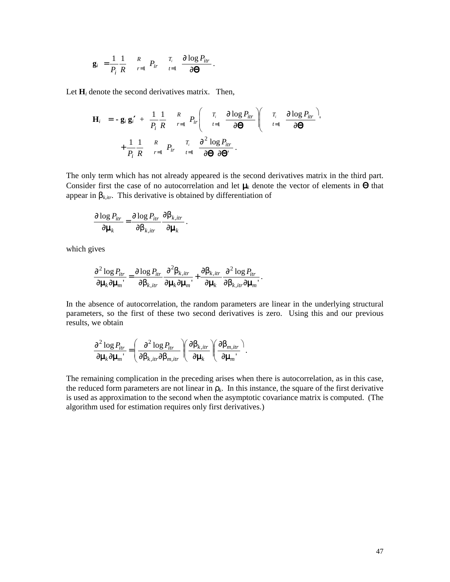$$
\mathbf{g}_i = \frac{1}{P_i} \frac{1}{R} \quad \mathop{R}\limits_{r=1}^{R} \quad P_{ir} \quad \mathop{I}\limits_{t=1}^{T_i} \quad \frac{\partial \log P_{itr}}{\partial \mathbf{\Theta}}.
$$

Let  $H_i$  denote the second derivatives matrix. Then,

$$
\mathbf{H}_{i} = -\mathbf{g}_{i} \mathbf{g}_{i}' + \frac{1}{P_{i}} \frac{1}{R} \sum_{r=1}^{R} P_{ir} \left( \begin{array}{cc} T_{i} & \frac{\partial \log P_{itr}}{t=1} \\ t=1 \end{array} \right) \left( \begin{array}{cc} T_{i} & \frac{\partial \log P_{itr}}{t=1} \\ t=1 \end{array} \right)
$$

$$
+ \frac{1}{P_{i}} \frac{1}{R} \sum_{r=1}^{R} P_{ir} \sum_{t=1}^{T_{i}} \frac{\partial^{2} \log P_{itr}}{\partial \Theta \partial \Theta}.
$$

The only term which has not already appeared is the second derivatives matrix in the third part. Consider first the case of no autocorrelation and let  $\mu_k$  denote the vector of elements in  $\Theta$  that appear in  $\beta_{k,itr}$ . This derivative is obtained by differentiation of

$$
\frac{\partial \log P_{itr}}{\partial \mu_k} = \frac{\partial \log P_{itr}}{\partial \beta_{k,itr}} \frac{\partial \beta_{k,itr}}{\partial \mu_k}.
$$

which gives

$$
\frac{\partial^2 \log P_{itr}}{\partial \mu_k \partial \mu_m} = \frac{\partial \log P_{itr}}{\partial \beta_{k,itr}} \frac{\partial^2 \beta_{k,itr}}{\partial \mu_k \partial \mu_m} + \frac{\partial \beta_{k,itr}}{\partial \mu_k} \frac{\partial^2 \log P_{itr}}{\partial \beta_{k,itr} \partial \mu_m}.
$$

In the absence of autocorrelation, the random parameters are linear in the underlying structural parameters, so the first of these two second derivatives is zero. Using this and our previous results, we obtain

$$
\frac{\partial^2 \log P_{itr}}{\partial \mu_k \partial \mu_{m'}} = \left(\frac{\partial^2 \log P_{itr}}{\partial \beta_{k,itr} \partial \beta_{m,itr}}\right) \left(\frac{\partial \beta_{k,itr}}{\partial \mu_k}\right) \left(\frac{\partial \beta_{m,itr}}{\partial \mu_{m'}}\right).
$$

The remaining complication in the preceding arises when there is autocorrelation, as in this case, the reduced form parameters are not linear in  $\rho_k$ . In this instance, the square of the first derivative is used as approximation to the second when the asymptotic covariance matrix is computed. (The algorithm used for estimation requires only first derivatives.)